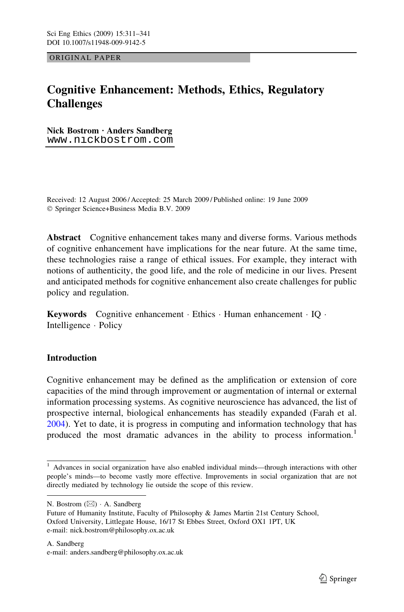ORIGINAL PAPER

# Cognitive Enhancement: Methods, Ethics, Regulatory **Challenges**

Nick Bostrom · Anders Sandberg [www.nickbostrom.com](http://www.nickbostrom.com)

Received: 12 August 2006 / Accepted: 25 March 2009 / Published online: 19 June 2009 Springer Science+Business Media B.V. 2009

Abstract Cognitive enhancement takes many and diverse forms. Various methods of cognitive enhancement have implications for the near future. At the same time, these technologies raise a range of ethical issues. For example, they interact with notions of authenticity, the good life, and the role of medicine in our lives. Present and anticipated methods for cognitive enhancement also create challenges for public policy and regulation.

Keywords Cognitive enhancement  $\cdot$  Ethics  $\cdot$  Human enhancement  $\cdot$  IQ  $\cdot$ Intelligence · Policy

## **Introduction**

Cognitive enhancement may be defined as the amplification or extension of core capacities of the mind through improvement or augmentation of internal or external information processing systems. As cognitive neuroscience has advanced, the list of prospective internal, biological enhancements has steadily expanded (Farah et al. [2004\)](#page-24-0). Yet to date, it is progress in computing and information technology that has produced the most dramatic advances in the ability to process information.<sup>1</sup>

N. Bostrom  $(\boxtimes)$   $\cdot$  A. Sandberg

 $1$  Advances in social organization have also enabled individual minds—through interactions with other people's minds—to become vastly more effective. Improvements in social organization that are not directly mediated by technology lie outside the scope of this review.

Future of Humanity Institute, Faculty of Philosophy & James Martin 21st Century School, Oxford University, Littlegate House, 16/17 St Ebbes Street, Oxford OX1 1PT, UK e-mail: nick.bostrom@philosophy.ox.ac.uk

A. Sandberg e-mail: anders.sandberg@philosophy.ox.ac.uk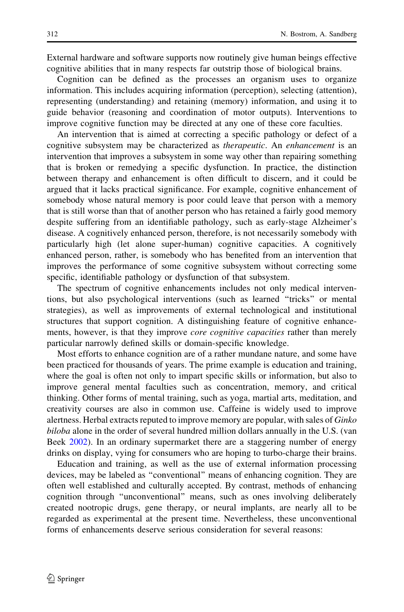External hardware and software supports now routinely give human beings effective cognitive abilities that in many respects far outstrip those of biological brains.

Cognition can be defined as the processes an organism uses to organize information. This includes acquiring information (perception), selecting (attention), representing (understanding) and retaining (memory) information, and using it to guide behavior (reasoning and coordination of motor outputs). Interventions to improve cognitive function may be directed at any one of these core faculties.

An intervention that is aimed at correcting a specific pathology or defect of a cognitive subsystem may be characterized as therapeutic. An enhancement is an intervention that improves a subsystem in some way other than repairing something that is broken or remedying a specific dysfunction. In practice, the distinction between therapy and enhancement is often difficult to discern, and it could be argued that it lacks practical significance. For example, cognitive enhancement of somebody whose natural memory is poor could leave that person with a memory that is still worse than that of another person who has retained a fairly good memory despite suffering from an identifiable pathology, such as early-stage Alzheimer's disease. A cognitively enhanced person, therefore, is not necessarily somebody with particularly high (let alone super-human) cognitive capacities. A cognitively enhanced person, rather, is somebody who has benefited from an intervention that improves the performance of some cognitive subsystem without correcting some specific, identifiable pathology or dysfunction of that subsystem.

The spectrum of cognitive enhancements includes not only medical interventions, but also psychological interventions (such as learned ''tricks'' or mental strategies), as well as improvements of external technological and institutional structures that support cognition. A distinguishing feature of cognitive enhancements, however, is that they improve *core cognitive capacities* rather than merely particular narrowly defined skills or domain-specific knowledge.

Most efforts to enhance cognition are of a rather mundane nature, and some have been practiced for thousands of years. The prime example is education and training, where the goal is often not only to impart specific skills or information, but also to improve general mental faculties such as concentration, memory, and critical thinking. Other forms of mental training, such as yoga, martial arts, meditation, and creativity courses are also in common use. Caffeine is widely used to improve alertness. Herbal extracts reputed to improve memory are popular, with sales of Ginko biloba alone in the order of several hundred million dollars annually in the U.S. (van Beek [2002](#page-29-0)). In an ordinary supermarket there are a staggering number of energy drinks on display, vying for consumers who are hoping to turbo-charge their brains.

Education and training, as well as the use of external information processing devices, may be labeled as ''conventional'' means of enhancing cognition. They are often well established and culturally accepted. By contrast, methods of enhancing cognition through ''unconventional'' means, such as ones involving deliberately created nootropic drugs, gene therapy, or neural implants, are nearly all to be regarded as experimental at the present time. Nevertheless, these unconventional forms of enhancements deserve serious consideration for several reasons: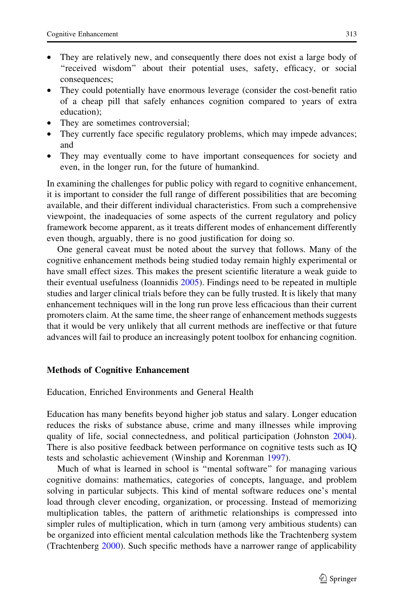- They are relatively new, and consequently there does not exist a large body of ''received wisdom'' about their potential uses, safety, efficacy, or social consequences;
- They could potentially have enormous leverage (consider the cost-benefit ratio of a cheap pill that safely enhances cognition compared to years of extra education);
- They are sometimes controversial;
- They currently face specific regulatory problems, which may impede advances; and
- They may eventually come to have important consequences for society and even, in the longer run, for the future of humankind.

In examining the challenges for public policy with regard to cognitive enhancement, it is important to consider the full range of different possibilities that are becoming available, and their different individual characteristics. From such a comprehensive viewpoint, the inadequacies of some aspects of the current regulatory and policy framework become apparent, as it treats different modes of enhancement differently even though, arguably, there is no good justification for doing so.

One general caveat must be noted about the survey that follows. Many of the cognitive enhancement methods being studied today remain highly experimental or have small effect sizes. This makes the present scientific literature a weak guide to their eventual usefulness (Ioannidis [2005\)](#page-25-0). Findings need to be repeated in multiple studies and larger clinical trials before they can be fully trusted. It is likely that many enhancement techniques will in the long run prove less efficacious than their current promoters claim. At the same time, the sheer range of enhancement methods suggests that it would be very unlikely that all current methods are ineffective or that future advances will fail to produce an increasingly potent toolbox for enhancing cognition.

#### Methods of Cognitive Enhancement

Education, Enriched Environments and General Health

Education has many benefits beyond higher job status and salary. Longer education reduces the risks of substance abuse, crime and many illnesses while improving quality of life, social connectedness, and political participation (Johnston [2004\)](#page-26-0). There is also positive feedback between performance on cognitive tests such as IQ tests and scholastic achievement (Winship and Korenman [1997\)](#page-30-0).

Much of what is learned in school is ''mental software'' for managing various cognitive domains: mathematics, categories of concepts, language, and problem solving in particular subjects. This kind of mental software reduces one's mental load through clever encoding, organization, or processing. Instead of memorizing multiplication tables, the pattern of arithmetic relationships is compressed into simpler rules of multiplication, which in turn (among very ambitious students) can be organized into efficient mental calculation methods like the Trachtenberg system (Trachtenberg [2000\)](#page-29-0). Such specific methods have a narrower range of applicability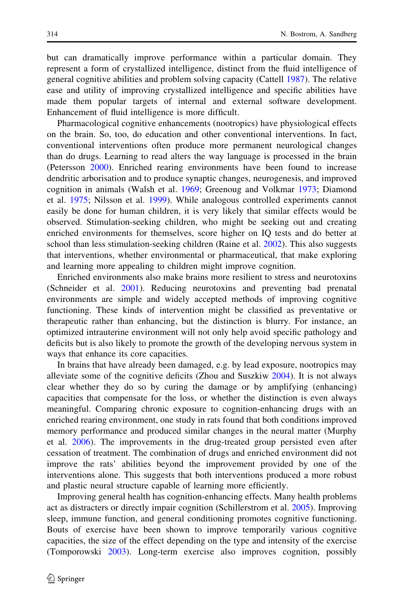but can dramatically improve performance within a particular domain. They represent a form of crystallized intelligence, distinct from the fluid intelligence of general cognitive abilities and problem solving capacity (Cattell [1987\)](#page-24-0). The relative ease and utility of improving crystallized intelligence and specific abilities have made them popular targets of internal and external software development. Enhancement of fluid intelligence is more difficult.

Pharmacological cognitive enhancements (nootropics) have physiological effects on the brain. So, too, do education and other conventional interventions. In fact, conventional interventions often produce more permanent neurological changes than do drugs. Learning to read alters the way language is processed in the brain (Petersson [2000](#page-27-0)). Enriched rearing environments have been found to increase dendritic arborisation and to produce synaptic changes, neurogenesis, and improved cognition in animals (Walsh et al. [1969;](#page-29-0) Greenoug and Volkmar [1973](#page-25-0); Diamond et al. [1975;](#page-24-0) Nilsson et al. [1999\)](#page-27-0). While analogous controlled experiments cannot easily be done for human children, it is very likely that similar effects would be observed. Stimulation-seeking children, who might be seeking out and creating enriched environments for themselves, score higher on IQ tests and do better at school than less stimulation-seeking children (Raine et al. [2002\)](#page-28-0). This also suggests that interventions, whether environmental or pharmaceutical, that make exploring and learning more appealing to children might improve cognition.

Enriched environments also make brains more resilient to stress and neurotoxins (Schneider et al. [2001\)](#page-28-0). Reducing neurotoxins and preventing bad prenatal environments are simple and widely accepted methods of improving cognitive functioning. These kinds of intervention might be classified as preventative or therapeutic rather than enhancing, but the distinction is blurry. For instance, an optimized intrauterine environment will not only help avoid specific pathology and deficits but is also likely to promote the growth of the developing nervous system in ways that enhance its core capacities.

In brains that have already been damaged, e.g. by lead exposure, nootropics may alleviate some of the cognitive deficits (Zhou and Suszkiw [2004\)](#page-30-0). It is not always clear whether they do so by curing the damage or by amplifying (enhancing) capacities that compensate for the loss, or whether the distinction is even always meaningful. Comparing chronic exposure to cognition-enhancing drugs with an enriched rearing environment, one study in rats found that both conditions improved memory performance and produced similar changes in the neural matter (Murphy et al. [2006](#page-27-0)). The improvements in the drug-treated group persisted even after cessation of treatment. The combination of drugs and enriched environment did not improve the rats' abilities beyond the improvement provided by one of the interventions alone. This suggests that both interventions produced a more robust and plastic neural structure capable of learning more efficiently.

Improving general health has cognition-enhancing effects. Many health problems act as distracters or directly impair cognition (Schillerstrom et al. [2005](#page-28-0)). Improving sleep, immune function, and general conditioning promotes cognitive functioning. Bouts of exercise have been shown to improve temporarily various cognitive capacities, the size of the effect depending on the type and intensity of the exercise (Tomporowski [2003](#page-29-0)). Long-term exercise also improves cognition, possibly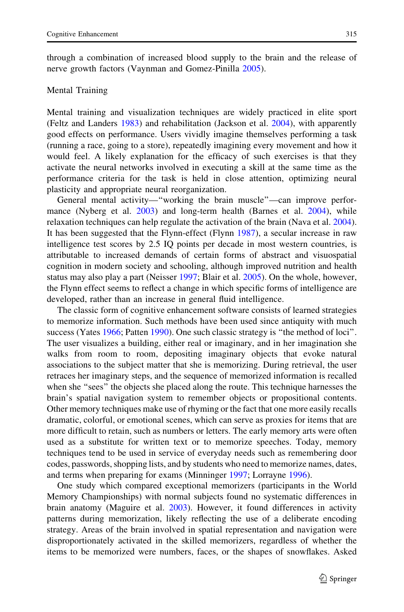through a combination of increased blood supply to the brain and the release of nerve growth factors (Vaynman and Gomez-Pinilla [2005\)](#page-29-0).

### Mental Training

Mental training and visualization techniques are widely practiced in elite sport (Feltz and Landers [1983](#page-24-0)) and rehabilitation (Jackson et al. [2004](#page-26-0)), with apparently good effects on performance. Users vividly imagine themselves performing a task (running a race, going to a store), repeatedly imagining every movement and how it would feel. A likely explanation for the efficacy of such exercises is that they activate the neural networks involved in executing a skill at the same time as the performance criteria for the task is held in close attention, optimizing neural plasticity and appropriate neural reorganization.

General mental activity—''working the brain muscle''—can improve perfor-mance (Nyberg et al. [2003](#page-27-0)) and long-term health (Barnes et al. [2004](#page-23-0)), while relaxation techniques can help regulate the activation of the brain (Nava et al. [2004\)](#page-27-0). It has been suggested that the Flynn-effect (Flynn [1987\)](#page-24-0), a secular increase in raw intelligence test scores by 2.5 IQ points per decade in most western countries, is attributable to increased demands of certain forms of abstract and visuospatial cognition in modern society and schooling, although improved nutrition and health status may also play a part (Neisser [1997;](#page-27-0) Blair et al. [2005](#page-23-0)). On the whole, however, the Flynn effect seems to reflect a change in which specific forms of intelligence are developed, rather than an increase in general fluid intelligence.

The classic form of cognitive enhancement software consists of learned strategies to memorize information. Such methods have been used since antiquity with much success (Yates [1966](#page-30-0); Patten [1990\)](#page-27-0). One such classic strategy is ''the method of loci''. The user visualizes a building, either real or imaginary, and in her imagination she walks from room to room, depositing imaginary objects that evoke natural associations to the subject matter that she is memorizing. During retrieval, the user retraces her imaginary steps, and the sequence of memorized information is recalled when she "sees" the objects she placed along the route. This technique harnesses the brain's spatial navigation system to remember objects or propositional contents. Other memory techniques make use of rhyming or the fact that one more easily recalls dramatic, colorful, or emotional scenes, which can serve as proxies for items that are more difficult to retain, such as numbers or letters. The early memory arts were often used as a substitute for written text or to memorize speeches. Today, memory techniques tend to be used in service of everyday needs such as remembering door codes, passwords, shopping lists, and by students who need to memorize names, dates, and terms when preparing for exams (Minninger [1997](#page-27-0); Lorrayne [1996](#page-26-0)).

One study which compared exceptional memorizers (participants in the World Memory Championships) with normal subjects found no systematic differences in brain anatomy (Maguire et al. [2003\)](#page-26-0). However, it found differences in activity patterns during memorization, likely reflecting the use of a deliberate encoding strategy. Areas of the brain involved in spatial representation and navigation were disproportionately activated in the skilled memorizers, regardless of whether the items to be memorized were numbers, faces, or the shapes of snowflakes. Asked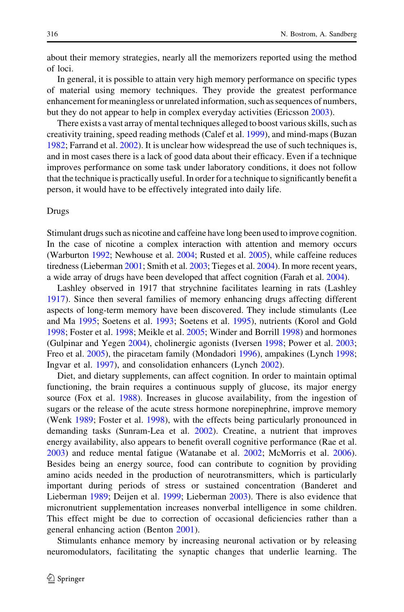about their memory strategies, nearly all the memorizers reported using the method of loci.

In general, it is possible to attain very high memory performance on specific types of material using memory techniques. They provide the greatest performance enhancement for meaningless or unrelated information, such as sequences of numbers, but they do not appear to help in complex everyday activities (Ericsson [2003\)](#page-24-0).

There exists a vast array of mental techniques alleged to boost various skills, such as creativity training, speed reading methods (Calef et al. [1999\)](#page-24-0), and mind-maps (Buzan [1982;](#page-23-0) Farrand et al. [2002](#page-24-0)). It is unclear how widespread the use of such techniques is, and in most cases there is a lack of good data about their efficacy. Even if a technique improves performance on some task under laboratory conditions, it does not follow that the technique is practically useful. In order for a technique to significantly benefit a person, it would have to be effectively integrated into daily life.

#### Drugs

Stimulant drugs such as nicotine and caffeine have long been used to improve cognition. In the case of nicotine a complex interaction with attention and memory occurs (Warburton [1992](#page-29-0); Newhouse et al. [2004;](#page-27-0) Rusted et al. [2005](#page-28-0)), while caffeine reduces tiredness (Lieberman [2001](#page-26-0); Smith et al. [2003;](#page-28-0) Tieges et al. [2004](#page-29-0)). In more recent years, a wide array of drugs have been developed that affect cognition (Farah et al. [2004\)](#page-24-0).

Lashley observed in 1917 that strychnine facilitates learning in rats (Lashley [1917\)](#page-26-0). Since then several families of memory enhancing drugs affecting different aspects of long-term memory have been discovered. They include stimulants (Lee and Ma [1995](#page-26-0); Soetens et al. [1993](#page-29-0); Soetens et al. [1995](#page-28-0)), nutrients (Korol and Gold [1998;](#page-26-0) Foster et al. [1998](#page-24-0); Meikle et al. [2005;](#page-27-0) Winder and Borrill [1998](#page-29-0)) and hormones (Gulpinar and Yegen [2004\)](#page-25-0), cholinergic agonists (Iversen [1998](#page-25-0); Power et al. [2003;](#page-28-0) Freo et al. [2005\)](#page-25-0), the piracetam family (Mondadori [1996\)](#page-27-0), ampakines (Lynch [1998;](#page-26-0) Ingvar et al. [1997](#page-25-0)), and consolidation enhancers (Lynch [2002\)](#page-26-0).

Diet, and dietary supplements, can affect cognition. In order to maintain optimal functioning, the brain requires a continuous supply of glucose, its major energy source (Fox et al. [1988](#page-25-0)). Increases in glucose availability, from the ingestion of sugars or the release of the acute stress hormone norepinephrine, improve memory (Wenk [1989](#page-29-0); Foster et al. [1998](#page-24-0)), with the effects being particularly pronounced in demanding tasks (Sunram-Lea et al. [2002\)](#page-29-0). Creatine, a nutrient that improves energy availability, also appears to benefit overall cognitive performance (Rae et al. [2003\)](#page-28-0) and reduce mental fatigue (Watanabe et al. [2002](#page-29-0); McMorris et al. [2006\)](#page-26-0). Besides being an energy source, food can contribute to cognition by providing amino acids needed in the production of neurotransmitters, which is particularly important during periods of stress or sustained concentration (Banderet and Lieberman [1989;](#page-23-0) Deijen et al. [1999](#page-24-0); Lieberman [2003\)](#page-26-0). There is also evidence that micronutrient supplementation increases nonverbal intelligence in some children. This effect might be due to correction of occasional deficiencies rather than a general enhancing action (Benton [2001\)](#page-23-0).

Stimulants enhance memory by increasing neuronal activation or by releasing neuromodulators, facilitating the synaptic changes that underlie learning. The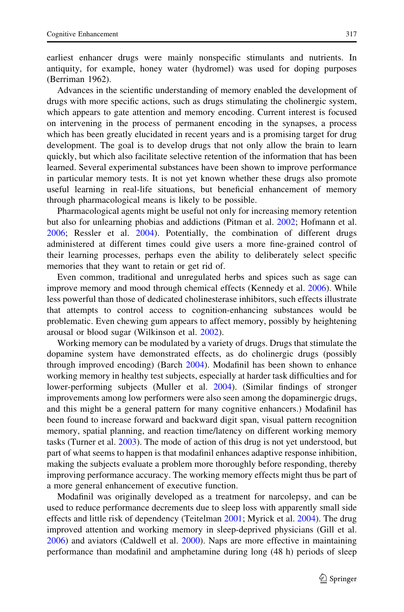earliest enhancer drugs were mainly nonspecific stimulants and nutrients. In antiquity, for example, honey water (hydromel) was used for doping purposes (Berriman 1962).

Advances in the scientific understanding of memory enabled the development of drugs with more specific actions, such as drugs stimulating the cholinergic system, which appears to gate attention and memory encoding. Current interest is focused on intervening in the process of permanent encoding in the synapses, a process which has been greatly elucidated in recent years and is a promising target for drug development. The goal is to develop drugs that not only allow the brain to learn quickly, but which also facilitate selective retention of the information that has been learned. Several experimental substances have been shown to improve performance in particular memory tests. It is not yet known whether these drugs also promote useful learning in real-life situations, but beneficial enhancement of memory through pharmacological means is likely to be possible.

Pharmacological agents might be useful not only for increasing memory retention but also for unlearning phobias and addictions (Pitman et al. [2002](#page-27-0); Hofmann et al. [2006;](#page-25-0) Ressler et al. [2004\)](#page-28-0). Potentially, the combination of different drugs administered at different times could give users a more fine-grained control of their learning processes, perhaps even the ability to deliberately select specific memories that they want to retain or get rid of.

Even common, traditional and unregulated herbs and spices such as sage can improve memory and mood through chemical effects (Kennedy et al. [2006](#page-26-0)). While less powerful than those of dedicated cholinesterase inhibitors, such effects illustrate that attempts to control access to cognition-enhancing substances would be problematic. Even chewing gum appears to affect memory, possibly by heightening arousal or blood sugar (Wilkinson et al. [2002\)](#page-29-0).

Working memory can be modulated by a variety of drugs. Drugs that stimulate the dopamine system have demonstrated effects, as do cholinergic drugs (possibly through improved encoding) (Barch [2004](#page-23-0)). Modafinil has been shown to enhance working memory in healthy test subjects, especially at harder task difficulties and for lower-performing subjects (Muller et al. [2004](#page-27-0)). (Similar findings of stronger improvements among low performers were also seen among the dopaminergic drugs, and this might be a general pattern for many cognitive enhancers.) Modafinil has been found to increase forward and backward digit span, visual pattern recognition memory, spatial planning, and reaction time/latency on different working memory tasks (Turner et al. [2003\)](#page-29-0). The mode of action of this drug is not yet understood, but part of what seems to happen is that modafinil enhances adaptive response inhibition, making the subjects evaluate a problem more thoroughly before responding, thereby improving performance accuracy. The working memory effects might thus be part of a more general enhancement of executive function.

Modafinil was originally developed as a treatment for narcolepsy, and can be used to reduce performance decrements due to sleep loss with apparently small side effects and little risk of dependency (Teitelman [2001;](#page-29-0) Myrick et al. [2004\)](#page-27-0). The drug improved attention and working memory in sleep-deprived physicians (Gill et al. [2006\)](#page-25-0) and aviators (Caldwell et al. [2000\)](#page-24-0). Naps are more effective in maintaining performance than modafinil and amphetamine during long (48 h) periods of sleep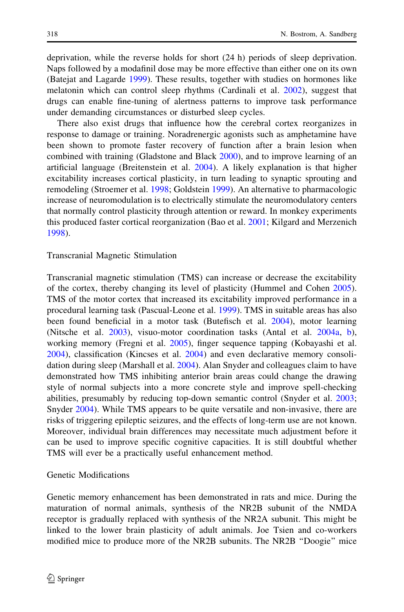deprivation, while the reverse holds for short (24 h) periods of sleep deprivation. Naps followed by a modafinil dose may be more effective than either one on its own (Batejat and Lagarde [1999](#page-23-0)). These results, together with studies on hormones like melatonin which can control sleep rhythms (Cardinali et al. [2002\)](#page-24-0), suggest that drugs can enable fine-tuning of alertness patterns to improve task performance under demanding circumstances or disturbed sleep cycles.

There also exist drugs that influence how the cerebral cortex reorganizes in response to damage or training. Noradrenergic agonists such as amphetamine have been shown to promote faster recovery of function after a brain lesion when combined with training (Gladstone and Black [2000\)](#page-25-0), and to improve learning of an artificial language (Breitenstein et al. [2004\)](#page-23-0). A likely explanation is that higher excitability increases cortical plasticity, in turn leading to synaptic sprouting and remodeling (Stroemer et al. [1998;](#page-29-0) Goldstein [1999](#page-25-0)). An alternative to pharmacologic increase of neuromodulation is to electrically stimulate the neuromodulatory centers that normally control plasticity through attention or reward. In monkey experiments this produced faster cortical reorganization (Bao et al. [2001;](#page-23-0) Kilgard and Merzenich [1998\)](#page-26-0).

## Transcranial Magnetic Stimulation

Transcranial magnetic stimulation (TMS) can increase or decrease the excitability of the cortex, thereby changing its level of plasticity (Hummel and Cohen [2005\)](#page-25-0). TMS of the motor cortex that increased its excitability improved performance in a procedural learning task (Pascual-Leone et al. [1999\)](#page-27-0). TMS in suitable areas has also been found beneficial in a motor task (Butefisch et al. [2004](#page-23-0)), motor learning (Nitsche et al. [2003\)](#page-27-0), visuo-motor coordination tasks (Antal et al. [2004a,](#page-23-0) [b\)](#page-23-0), working memory (Fregni et al. [2005\)](#page-25-0), finger sequence tapping (Kobayashi et al. [2004\)](#page-26-0), classification (Kincses et al. [2004](#page-26-0)) and even declarative memory consolidation during sleep (Marshall et al. [2004\)](#page-26-0). Alan Snyder and colleagues claim to have demonstrated how TMS inhibiting anterior brain areas could change the drawing style of normal subjects into a more concrete style and improve spell-checking abilities, presumably by reducing top-down semantic control (Snyder et al. [2003;](#page-28-0) Snyder [2004](#page-28-0)). While TMS appears to be quite versatile and non-invasive, there are risks of triggering epileptic seizures, and the effects of long-term use are not known. Moreover, individual brain differences may necessitate much adjustment before it can be used to improve specific cognitive capacities. It is still doubtful whether TMS will ever be a practically useful enhancement method.

## Genetic Modifications

Genetic memory enhancement has been demonstrated in rats and mice. During the maturation of normal animals, synthesis of the NR2B subunit of the NMDA receptor is gradually replaced with synthesis of the NR2A subunit. This might be linked to the lower brain plasticity of adult animals. Joe Tsien and co-workers modified mice to produce more of the NR2B subunits. The NR2B ''Doogie'' mice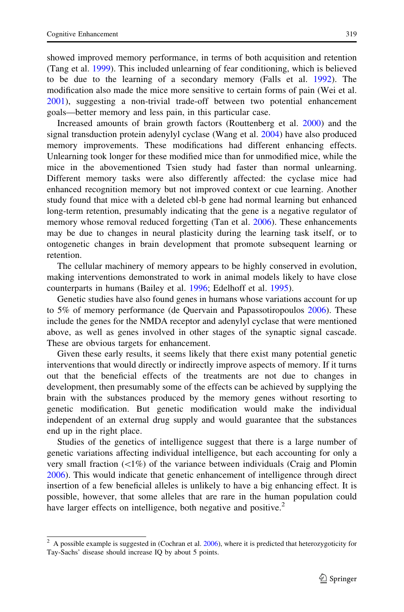showed improved memory performance, in terms of both acquisition and retention (Tang et al. [1999](#page-29-0)). This included unlearning of fear conditioning, which is believed to be due to the learning of a secondary memory (Falls et al. [1992\)](#page-24-0). The modification also made the mice more sensitive to certain forms of pain (Wei et al. [2001\)](#page-29-0), suggesting a non-trivial trade-off between two potential enhancement goals—better memory and less pain, in this particular case.

Increased amounts of brain growth factors (Routtenberg et al. [2000](#page-28-0)) and the signal transduction protein adenylyl cyclase (Wang et al. [2004](#page-29-0)) have also produced memory improvements. These modifications had different enhancing effects. Unlearning took longer for these modified mice than for unmodified mice, while the mice in the abovementioned Tsien study had faster than normal unlearning. Different memory tasks were also differently affected: the cyclase mice had enhanced recognition memory but not improved context or cue learning. Another study found that mice with a deleted cbl-b gene had normal learning but enhanced long-term retention, presumably indicating that the gene is a negative regulator of memory whose removal reduced forgetting (Tan et al. [2006](#page-29-0)). These enhancements may be due to changes in neural plasticity during the learning task itself, or to ontogenetic changes in brain development that promote subsequent learning or retention.

The cellular machinery of memory appears to be highly conserved in evolution, making interventions demonstrated to work in animal models likely to have close counterparts in humans (Bailey et al. [1996;](#page-23-0) Edelhoff et al. [1995](#page-24-0)).

Genetic studies have also found genes in humans whose variations account for up to 5% of memory performance (de Quervain and Papassotiropoulos [2006\)](#page-24-0). These include the genes for the NMDA receptor and adenylyl cyclase that were mentioned above, as well as genes involved in other stages of the synaptic signal cascade. These are obvious targets for enhancement.

Given these early results, it seems likely that there exist many potential genetic interventions that would directly or indirectly improve aspects of memory. If it turns out that the beneficial effects of the treatments are not due to changes in development, then presumably some of the effects can be achieved by supplying the brain with the substances produced by the memory genes without resorting to genetic modification. But genetic modification would make the individual independent of an external drug supply and would guarantee that the substances end up in the right place.

Studies of the genetics of intelligence suggest that there is a large number of genetic variations affecting individual intelligence, but each accounting for only a very small fraction (*\*1%) of the variance between individuals (Craig and Plomin [2006\)](#page-24-0). This would indicate that genetic enhancement of intelligence through direct insertion of a few beneficial alleles is unlikely to have a big enhancing effect. It is possible, however, that some alleles that are rare in the human population could have larger effects on intelligence, both negative and positive. $2^2$ 

<sup>2</sup> A possible example is suggested in (Cochran et al. [2006](#page-24-0)), where it is predicted that heterozygoticity for Tay-Sachs' disease should increase IQ by about 5 points.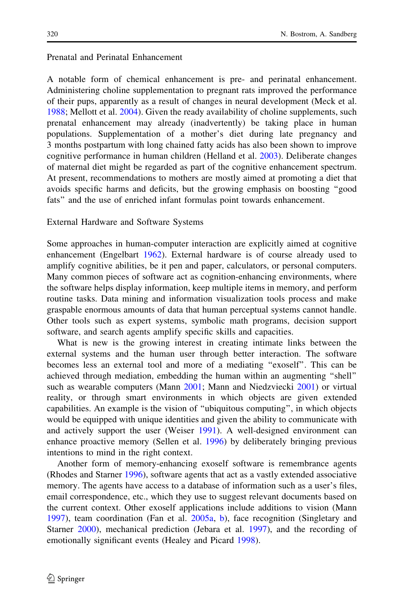## Prenatal and Perinatal Enhancement

A notable form of chemical enhancement is pre- and perinatal enhancement. Administering choline supplementation to pregnant rats improved the performance of their pups, apparently as a result of changes in neural development (Meck et al. [1988;](#page-27-0) Mellott et al. [2004](#page-27-0)). Given the ready availability of choline supplements, such prenatal enhancement may already (inadvertently) be taking place in human populations. Supplementation of a mother's diet during late pregnancy and 3 months postpartum with long chained fatty acids has also been shown to improve cognitive performance in human children (Helland et al. [2003\)](#page-28-0). Deliberate changes of maternal diet might be regarded as part of the cognitive enhancement spectrum. At present, recommendations to mothers are mostly aimed at promoting a diet that avoids specific harms and deficits, but the growing emphasis on boosting ''good fats'' and the use of enriched infant formulas point towards enhancement.

## External Hardware and Software Systems

Some approaches in human-computer interaction are explicitly aimed at cognitive enhancement (Engelbart [1962\)](#page-24-0). External hardware is of course already used to amplify cognitive abilities, be it pen and paper, calculators, or personal computers. Many common pieces of software act as cognition-enhancing environments, where the software helps display information, keep multiple items in memory, and perform routine tasks. Data mining and information visualization tools process and make graspable enormous amounts of data that human perceptual systems cannot handle. Other tools such as expert systems, symbolic math programs, decision support software, and search agents amplify specific skills and capacities.

What is new is the growing interest in creating intimate links between the external systems and the human user through better interaction. The software becomes less an external tool and more of a mediating ''exoself''. This can be achieved through mediation, embedding the human within an augmenting ''shell'' such as wearable computers (Mann [2001](#page-26-0); Mann and Niedzviecki [2001](#page-26-0)) or virtual reality, or through smart environments in which objects are given extended capabilities. An example is the vision of ''ubiquitous computing'', in which objects would be equipped with unique identities and given the ability to communicate with and actively support the user (Weiser [1991\)](#page-29-0). A well-designed environment can enhance proactive memory (Sellen et al. [1996\)](#page-28-0) by deliberately bringing previous intentions to mind in the right context.

Another form of memory-enhancing exoself software is remembrance agents (Rhodes and Starner [1996](#page-28-0)), software agents that act as a vastly extended associative memory. The agents have access to a database of information such as a user's files, email correspondence, etc., which they use to suggest relevant documents based on the current context. Other exoself applications include additions to vision (Mann [1997\)](#page-26-0), team coordination (Fan et al. [2005a](#page-24-0), [b](#page-24-0)), face recognition (Singletary and Starner [2000\)](#page-28-0), mechanical prediction (Jebara et al. [1997\)](#page-26-0), and the recording of emotionally significant events (Healey and Picard [1998\)](#page-25-0).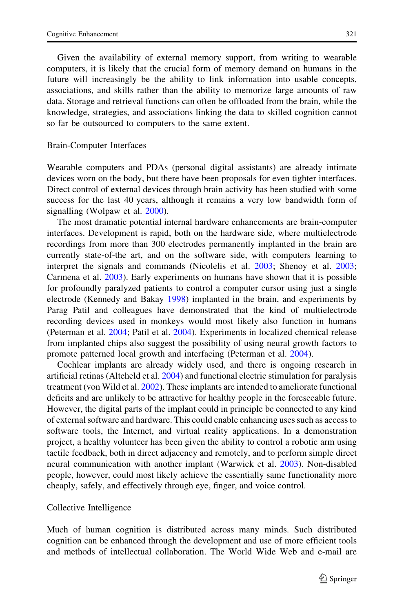Given the availability of external memory support, from writing to wearable computers, it is likely that the crucial form of memory demand on humans in the future will increasingly be the ability to link information into usable concepts, associations, and skills rather than the ability to memorize large amounts of raw data. Storage and retrieval functions can often be offloaded from the brain, while the knowledge, strategies, and associations linking the data to skilled cognition cannot so far be outsourced to computers to the same extent.

## Brain-Computer Interfaces

Wearable computers and PDAs (personal digital assistants) are already intimate devices worn on the body, but there have been proposals for even tighter interfaces. Direct control of external devices through brain activity has been studied with some success for the last 40 years, although it remains a very low bandwidth form of signalling (Wolpaw et al. [2000](#page-30-0)).

The most dramatic potential internal hardware enhancements are brain-computer interfaces. Development is rapid, both on the hardware side, where multielectrode recordings from more than 300 electrodes permanently implanted in the brain are currently state-of-the art, and on the software side, with computers learning to interpret the signals and commands (Nicolelis et al. [2003;](#page-27-0) Shenoy et al. [2003;](#page-28-0) Carmena et al. [2003\)](#page-24-0). Early experiments on humans have shown that it is possible for profoundly paralyzed patients to control a computer cursor using just a single electrode (Kennedy and Bakay [1998](#page-26-0)) implanted in the brain, and experiments by Parag Patil and colleagues have demonstrated that the kind of multielectrode recording devices used in monkeys would most likely also function in humans (Peterman et al. [2004](#page-27-0); Patil et al. [2004\)](#page-27-0). Experiments in localized chemical release from implanted chips also suggest the possibility of using neural growth factors to promote patterned local growth and interfacing (Peterman et al. [2004\)](#page-27-0).

Cochlear implants are already widely used, and there is ongoing research in artificial retinas (Alteheld et al. [2004](#page-23-0)) and functional electric stimulation for paralysis treatment (von Wild et al. [2002\)](#page-29-0). These implants are intended to ameliorate functional deficits and are unlikely to be attractive for healthy people in the foreseeable future. However, the digital parts of the implant could in principle be connected to any kind of external software and hardware. This could enable enhancing uses such as access to software tools, the Internet, and virtual reality applications. In a demonstration project, a healthy volunteer has been given the ability to control a robotic arm using tactile feedback, both in direct adjacency and remotely, and to perform simple direct neural communication with another implant (Warwick et al. [2003\)](#page-29-0). Non-disabled people, however, could most likely achieve the essentially same functionality more cheaply, safely, and effectively through eye, finger, and voice control.

#### Collective Intelligence

Much of human cognition is distributed across many minds. Such distributed cognition can be enhanced through the development and use of more efficient tools and methods of intellectual collaboration. The World Wide Web and e-mail are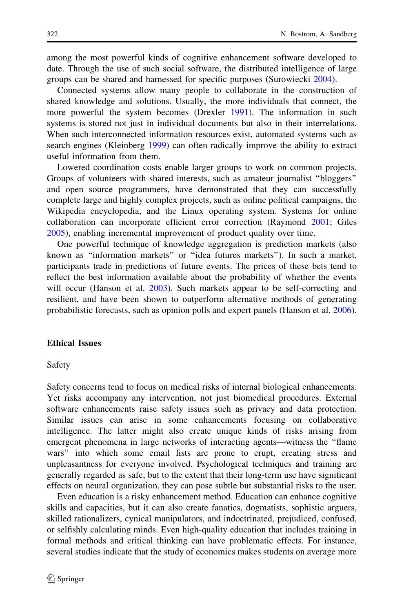among the most powerful kinds of cognitive enhancement software developed to date. Through the use of such social software, the distributed intelligence of large groups can be shared and harnessed for specific purposes (Surowiecki [2004](#page-29-0)).

Connected systems allow many people to collaborate in the construction of shared knowledge and solutions. Usually, the more individuals that connect, the more powerful the system becomes (Drexler [1991\)](#page-24-0). The information in such systems is stored not just in individual documents but also in their interrelations. When such interconnected information resources exist, automated systems such as search engines (Kleinberg [1999\)](#page-26-0) can often radically improve the ability to extract useful information from them.

Lowered coordination costs enable larger groups to work on common projects. Groups of volunteers with shared interests, such as amateur journalist ''bloggers'' and open source programmers, have demonstrated that they can successfully complete large and highly complex projects, such as online political campaigns, the Wikipedia encyclopedia, and the Linux operating system. Systems for online collaboration can incorporate efficient error correction (Raymond [2001;](#page-28-0) Giles [2005\)](#page-25-0), enabling incremental improvement of product quality over time.

One powerful technique of knowledge aggregation is prediction markets (also known as ''information markets'' or ''idea futures markets''). In such a market, participants trade in predictions of future events. The prices of these bets tend to reflect the best information available about the probability of whether the events will occur (Hanson et al. [2003](#page-25-0)). Such markets appear to be self-correcting and resilient, and have been shown to outperform alternative methods of generating probabilistic forecasts, such as opinion polls and expert panels (Hanson et al. [2006\)](#page-25-0).

#### Ethical Issues

#### Safety

Safety concerns tend to focus on medical risks of internal biological enhancements. Yet risks accompany any intervention, not just biomedical procedures. External software enhancements raise safety issues such as privacy and data protection. Similar issues can arise in some enhancements focusing on collaborative intelligence. The latter might also create unique kinds of risks arising from emergent phenomena in large networks of interacting agents—witness the ''flame wars'' into which some email lists are prone to erupt, creating stress and unpleasantness for everyone involved. Psychological techniques and training are generally regarded as safe, but to the extent that their long-term use have significant effects on neural organization, they can pose subtle but substantial risks to the user.

Even education is a risky enhancement method. Education can enhance cognitive skills and capacities, but it can also create fanatics, dogmatists, sophistic arguers, skilled rationalizers, cynical manipulators, and indoctrinated, prejudiced, confused, or selfishly calculating minds. Even high-quality education that includes training in formal methods and critical thinking can have problematic effects. For instance, several studies indicate that the study of economics makes students on average more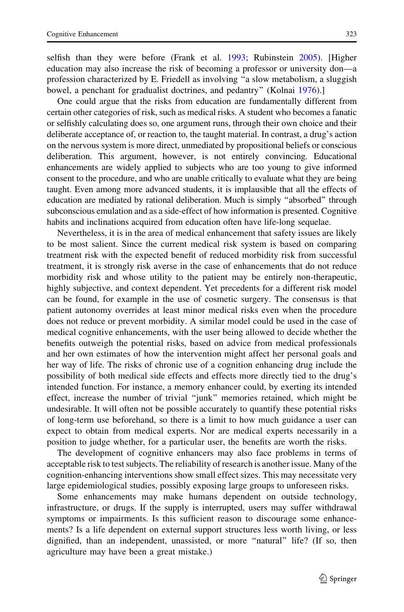selfish than they were before (Frank et al. [1993](#page-25-0); Rubinstein [2005](#page-28-0)). [Higher education may also increase the risk of becoming a professor or university don—a profession characterized by E. Friedell as involving ''a slow metabolism, a sluggish bowel, a penchant for gradualist doctrines, and pedantry'' (Kolnai [1976](#page-26-0)).]

One could argue that the risks from education are fundamentally different from certain other categories of risk, such as medical risks. A student who becomes a fanatic or selfishly calculating does so, one argument runs, through their own choice and their deliberate acceptance of, or reaction to, the taught material. In contrast, a drug's action on the nervous system is more direct, unmediated by propositional beliefs or conscious deliberation. This argument, however, is not entirely convincing. Educational enhancements are widely applied to subjects who are too young to give informed consent to the procedure, and who are unable critically to evaluate what they are being taught. Even among more advanced students, it is implausible that all the effects of education are mediated by rational deliberation. Much is simply ''absorbed'' through subconscious emulation and as a side-effect of how information is presented. Cognitive habits and inclinations acquired from education often have life-long sequelae.

Nevertheless, it is in the area of medical enhancement that safety issues are likely to be most salient. Since the current medical risk system is based on comparing treatment risk with the expected benefit of reduced morbidity risk from successful treatment, it is strongly risk averse in the case of enhancements that do not reduce morbidity risk and whose utility to the patient may be entirely non-therapeutic, highly subjective, and context dependent. Yet precedents for a different risk model can be found, for example in the use of cosmetic surgery. The consensus is that patient autonomy overrides at least minor medical risks even when the procedure does not reduce or prevent morbidity. A similar model could be used in the case of medical cognitive enhancements, with the user being allowed to decide whether the benefits outweigh the potential risks, based on advice from medical professionals and her own estimates of how the intervention might affect her personal goals and her way of life. The risks of chronic use of a cognition enhancing drug include the possibility of both medical side effects and effects more directly tied to the drug's intended function. For instance, a memory enhancer could, by exerting its intended effect, increase the number of trivial ''junk'' memories retained, which might be undesirable. It will often not be possible accurately to quantify these potential risks of long-term use beforehand, so there is a limit to how much guidance a user can expect to obtain from medical experts. Nor are medical experts necessarily in a position to judge whether, for a particular user, the benefits are worth the risks.

The development of cognitive enhancers may also face problems in terms of acceptable risk to test subjects. The reliability of research is another issue. Many of the cognition-enhancing interventions show small effect sizes. This may necessitate very large epidemiological studies, possibly exposing large groups to unforeseen risks.

Some enhancements may make humans dependent on outside technology, infrastructure, or drugs. If the supply is interrupted, users may suffer withdrawal symptoms or impairments. Is this sufficient reason to discourage some enhancements? Is a life dependent on external support structures less worth living, or less dignified, than an independent, unassisted, or more ''natural'' life? (If so, then agriculture may have been a great mistake.)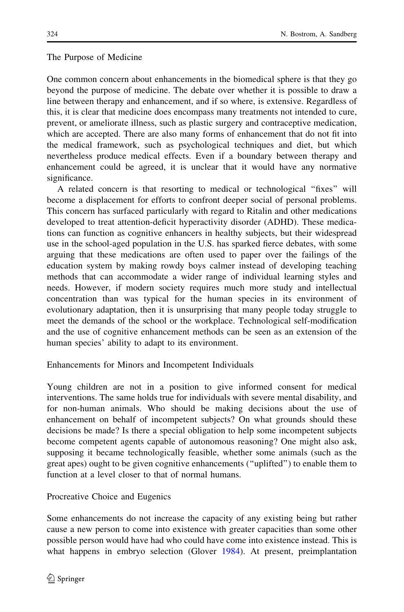## The Purpose of Medicine

One common concern about enhancements in the biomedical sphere is that they go beyond the purpose of medicine. The debate over whether it is possible to draw a line between therapy and enhancement, and if so where, is extensive. Regardless of this, it is clear that medicine does encompass many treatments not intended to cure, prevent, or ameliorate illness, such as plastic surgery and contraceptive medication, which are accepted. There are also many forms of enhancement that do not fit into the medical framework, such as psychological techniques and diet, but which nevertheless produce medical effects. Even if a boundary between therapy and enhancement could be agreed, it is unclear that it would have any normative significance.

A related concern is that resorting to medical or technological ''fixes'' will become a displacement for efforts to confront deeper social of personal problems. This concern has surfaced particularly with regard to Ritalin and other medications developed to treat attention-deficit hyperactivity disorder (ADHD). These medications can function as cognitive enhancers in healthy subjects, but their widespread use in the school-aged population in the U.S. has sparked fierce debates, with some arguing that these medications are often used to paper over the failings of the education system by making rowdy boys calmer instead of developing teaching methods that can accommodate a wider range of individual learning styles and needs. However, if modern society requires much more study and intellectual concentration than was typical for the human species in its environment of evolutionary adaptation, then it is unsurprising that many people today struggle to meet the demands of the school or the workplace. Technological self-modification and the use of cognitive enhancement methods can be seen as an extension of the human species' ability to adapt to its environment.

Enhancements for Minors and Incompetent Individuals

Young children are not in a position to give informed consent for medical interventions. The same holds true for individuals with severe mental disability, and for non-human animals. Who should be making decisions about the use of enhancement on behalf of incompetent subjects? On what grounds should these decisions be made? Is there a special obligation to help some incompetent subjects become competent agents capable of autonomous reasoning? One might also ask, supposing it became technologically feasible, whether some animals (such as the great apes) ought to be given cognitive enhancements (''uplifted'') to enable them to function at a level closer to that of normal humans.

Procreative Choice and Eugenics

Some enhancements do not increase the capacity of any existing being but rather cause a new person to come into existence with greater capacities than some other possible person would have had who could have come into existence instead. This is what happens in embryo selection (Glover [1984](#page-25-0)). At present, preimplantation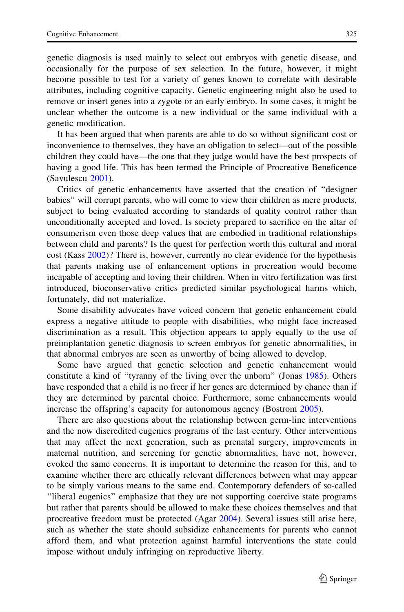genetic diagnosis is used mainly to select out embryos with genetic disease, and occasionally for the purpose of sex selection. In the future, however, it might become possible to test for a variety of genes known to correlate with desirable attributes, including cognitive capacity. Genetic engineering might also be used to remove or insert genes into a zygote or an early embryo. In some cases, it might be unclear whether the outcome is a new individual or the same individual with a genetic modification.

It has been argued that when parents are able to do so without significant cost or inconvenience to themselves, they have an obligation to select—out of the possible children they could have—the one that they judge would have the best prospects of having a good life. This has been termed the Principle of Procreative Beneficence (Savulescu [2001](#page-28-0)).

Critics of genetic enhancements have asserted that the creation of ''designer babies'' will corrupt parents, who will come to view their children as mere products, subject to being evaluated according to standards of quality control rather than unconditionally accepted and loved. Is society prepared to sacrifice on the altar of consumerism even those deep values that are embodied in traditional relationships between child and parents? Is the quest for perfection worth this cultural and moral cost (Kass [2002](#page-26-0))? There is, however, currently no clear evidence for the hypothesis that parents making use of enhancement options in procreation would become incapable of accepting and loving their children. When in vitro fertilization was first introduced, bioconservative critics predicted similar psychological harms which, fortunately, did not materialize.

Some disability advocates have voiced concern that genetic enhancement could express a negative attitude to people with disabilities, who might face increased discrimination as a result. This objection appears to apply equally to the use of preimplantation genetic diagnosis to screen embryos for genetic abnormalities, in that abnormal embryos are seen as unworthy of being allowed to develop.

Some have argued that genetic selection and genetic enhancement would constitute a kind of ''tyranny of the living over the unborn'' (Jonas [1985](#page-26-0)). Others have responded that a child is no freer if her genes are determined by chance than if they are determined by parental choice. Furthermore, some enhancements would increase the offspring's capacity for autonomous agency (Bostrom [2005\)](#page-23-0).

There are also questions about the relationship between germ-line interventions and the now discredited eugenics programs of the last century. Other interventions that may affect the next generation, such as prenatal surgery, improvements in maternal nutrition, and screening for genetic abnormalities, have not, however, evoked the same concerns. It is important to determine the reason for this, and to examine whether there are ethically relevant differences between what may appear to be simply various means to the same end. Contemporary defenders of so-called ''liberal eugenics'' emphasize that they are not supporting coercive state programs but rather that parents should be allowed to make these choices themselves and that procreative freedom must be protected (Agar [2004\)](#page-23-0). Several issues still arise here, such as whether the state should subsidize enhancements for parents who cannot afford them, and what protection against harmful interventions the state could impose without unduly infringing on reproductive liberty.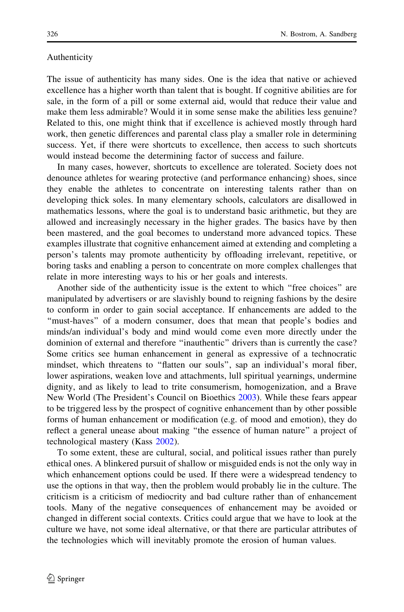#### Authenticity

The issue of authenticity has many sides. One is the idea that native or achieved excellence has a higher worth than talent that is bought. If cognitive abilities are for sale, in the form of a pill or some external aid, would that reduce their value and make them less admirable? Would it in some sense make the abilities less genuine? Related to this, one might think that if excellence is achieved mostly through hard work, then genetic differences and parental class play a smaller role in determining success. Yet, if there were shortcuts to excellence, then access to such shortcuts would instead become the determining factor of success and failure.

In many cases, however, shortcuts to excellence are tolerated. Society does not denounce athletes for wearing protective (and performance enhancing) shoes, since they enable the athletes to concentrate on interesting talents rather than on developing thick soles. In many elementary schools, calculators are disallowed in mathematics lessons, where the goal is to understand basic arithmetic, but they are allowed and increasingly necessary in the higher grades. The basics have by then been mastered, and the goal becomes to understand more advanced topics. These examples illustrate that cognitive enhancement aimed at extending and completing a person's talents may promote authenticity by offloading irrelevant, repetitive, or boring tasks and enabling a person to concentrate on more complex challenges that relate in more interesting ways to his or her goals and interests.

Another side of the authenticity issue is the extent to which ''free choices'' are manipulated by advertisers or are slavishly bound to reigning fashions by the desire to conform in order to gain social acceptance. If enhancements are added to the ''must-haves'' of a modern consumer, does that mean that people's bodies and minds/an individual's body and mind would come even more directly under the dominion of external and therefore ''inauthentic'' drivers than is currently the case? Some critics see human enhancement in general as expressive of a technocratic mindset, which threatens to ''flatten our souls'', sap an individual's moral fiber, lower aspirations, weaken love and attachments, lull spiritual yearnings, undermine dignity, and as likely to lead to trite consumerism, homogenization, and a Brave New World (The President's Council on Bioethics [2003](#page-29-0)). While these fears appear to be triggered less by the prospect of cognitive enhancement than by other possible forms of human enhancement or modification (e.g. of mood and emotion), they do reflect a general unease about making ''the essence of human nature'' a project of technological mastery (Kass [2002](#page-26-0)).

To some extent, these are cultural, social, and political issues rather than purely ethical ones. A blinkered pursuit of shallow or misguided ends is not the only way in which enhancement options could be used. If there were a widespread tendency to use the options in that way, then the problem would probably lie in the culture. The criticism is a criticism of mediocrity and bad culture rather than of enhancement tools. Many of the negative consequences of enhancement may be avoided or changed in different social contexts. Critics could argue that we have to look at the culture we have, not some ideal alternative, or that there are particular attributes of the technologies which will inevitably promote the erosion of human values.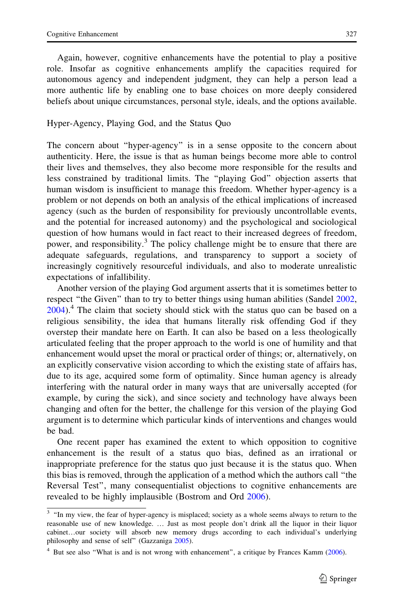Again, however, cognitive enhancements have the potential to play a positive role. Insofar as cognitive enhancements amplify the capacities required for autonomous agency and independent judgment, they can help a person lead a more authentic life by enabling one to base choices on more deeply considered beliefs about unique circumstances, personal style, ideals, and the options available.

## Hyper-Agency, Playing God, and the Status Quo

The concern about ''hyper-agency'' is in a sense opposite to the concern about authenticity. Here, the issue is that as human beings become more able to control their lives and themselves, they also become more responsible for the results and less constrained by traditional limits. The ''playing God'' objection asserts that human wisdom is insufficient to manage this freedom. Whether hyper-agency is a problem or not depends on both an analysis of the ethical implications of increased agency (such as the burden of responsibility for previously uncontrollable events, and the potential for increased autonomy) and the psychological and sociological question of how humans would in fact react to their increased degrees of freedom, power, and responsibility.<sup>3</sup> The policy challenge might be to ensure that there are adequate safeguards, regulations, and transparency to support a society of increasingly cognitively resourceful individuals, and also to moderate unrealistic expectations of infallibility.

Another version of the playing God argument asserts that it is sometimes better to respect "the Given" than to try to better things using human abilities (Sandel [2002,](#page-28-0)  $2004$ .<sup>4</sup> The claim that society should stick with the status quo can be based on a religious sensibility, the idea that humans literally risk offending God if they overstep their mandate here on Earth. It can also be based on a less theologically articulated feeling that the proper approach to the world is one of humility and that enhancement would upset the moral or practical order of things; or, alternatively, on an explicitly conservative vision according to which the existing state of affairs has, due to its age, acquired some form of optimality. Since human agency is already interfering with the natural order in many ways that are universally accepted (for example, by curing the sick), and since society and technology have always been changing and often for the better, the challenge for this version of the playing God argument is to determine which particular kinds of interventions and changes would be bad.

One recent paper has examined the extent to which opposition to cognitive enhancement is the result of a status quo bias, defined as an irrational or inappropriate preference for the status quo just because it is the status quo. When this bias is removed, through the application of a method which the authors call ''the Reversal Test'', many consequentialist objections to cognitive enhancements are revealed to be highly implausible (Bostrom and Ord [2006\)](#page-23-0).

<sup>&</sup>lt;sup>3</sup> "In my view, the fear of hyper-agency is misplaced; society as a whole seems always to return to the reasonable use of new knowledge. … Just as most people don't drink all the liquor in their liquor cabinet…our society will absorb new memory drugs according to each individual's underlying philosophy and sense of self'' (Gazzaniga [2005\)](#page-25-0).

<sup>&</sup>lt;sup>4</sup> But see also "What is and is not wrong with enhancement", a critique by Frances Kamm ([2006\)](#page-26-0).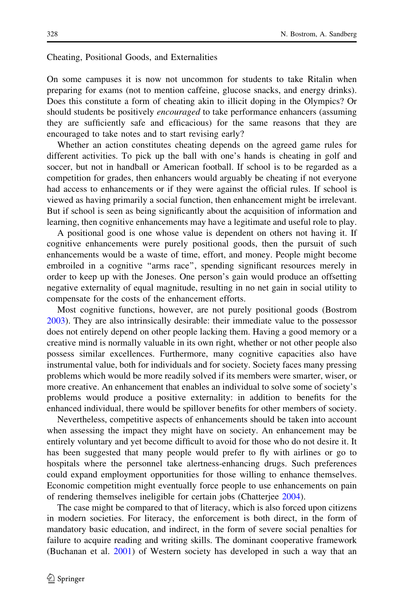#### Cheating, Positional Goods, and Externalities

On some campuses it is now not uncommon for students to take Ritalin when preparing for exams (not to mention caffeine, glucose snacks, and energy drinks). Does this constitute a form of cheating akin to illicit doping in the Olympics? Or should students be positively *encouraged* to take performance enhancers (assuming they are sufficiently safe and efficacious) for the same reasons that they are encouraged to take notes and to start revising early?

Whether an action constitutes cheating depends on the agreed game rules for different activities. To pick up the ball with one's hands is cheating in golf and soccer, but not in handball or American football. If school is to be regarded as a competition for grades, then enhancers would arguably be cheating if not everyone had access to enhancements or if they were against the official rules. If school is viewed as having primarily a social function, then enhancement might be irrelevant. But if school is seen as being significantly about the acquisition of information and learning, then cognitive enhancements may have a legitimate and useful role to play.

A positional good is one whose value is dependent on others not having it. If cognitive enhancements were purely positional goods, then the pursuit of such enhancements would be a waste of time, effort, and money. People might become embroiled in a cognitive ''arms race'', spending significant resources merely in order to keep up with the Joneses. One person's gain would produce an offsetting negative externality of equal magnitude, resulting in no net gain in social utility to compensate for the costs of the enhancement efforts.

Most cognitive functions, however, are not purely positional goods (Bostrom [2003\)](#page-23-0). They are also intrinsically desirable: their immediate value to the possessor does not entirely depend on other people lacking them. Having a good memory or a creative mind is normally valuable in its own right, whether or not other people also possess similar excellences. Furthermore, many cognitive capacities also have instrumental value, both for individuals and for society. Society faces many pressing problems which would be more readily solved if its members were smarter, wiser, or more creative. An enhancement that enables an individual to solve some of society's problems would produce a positive externality: in addition to benefits for the enhanced individual, there would be spillover benefits for other members of society.

Nevertheless, competitive aspects of enhancements should be taken into account when assessing the impact they might have on society. An enhancement may be entirely voluntary and yet become difficult to avoid for those who do not desire it. It has been suggested that many people would prefer to fly with airlines or go to hospitals where the personnel take alertness-enhancing drugs. Such preferences could expand employment opportunities for those willing to enhance themselves. Economic competition might eventually force people to use enhancements on pain of rendering themselves ineligible for certain jobs (Chatterjee [2004\)](#page-24-0).

The case might be compared to that of literacy, which is also forced upon citizens in modern societies. For literacy, the enforcement is both direct, in the form of mandatory basic education, and indirect, in the form of severe social penalties for failure to acquire reading and writing skills. The dominant cooperative framework (Buchanan et al. [2001\)](#page-23-0) of Western society has developed in such a way that an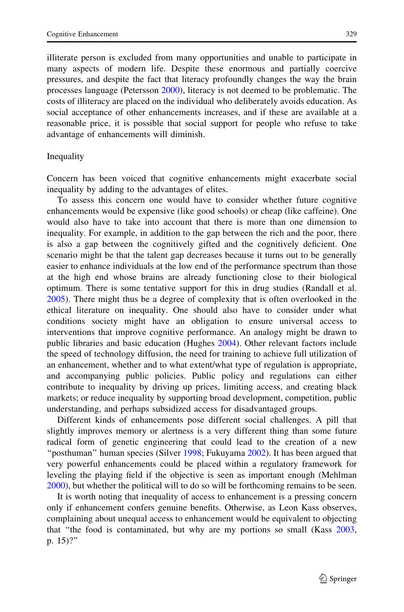illiterate person is excluded from many opportunities and unable to participate in many aspects of modern life. Despite these enormous and partially coercive pressures, and despite the fact that literacy profoundly changes the way the brain processes language (Petersson [2000\)](#page-27-0), literacy is not deemed to be problematic. The costs of illiteracy are placed on the individual who deliberately avoids education. As social acceptance of other enhancements increases, and if these are available at a reasonable price, it is possible that social support for people who refuse to take advantage of enhancements will diminish.

## Inequality

Concern has been voiced that cognitive enhancements might exacerbate social inequality by adding to the advantages of elites.

To assess this concern one would have to consider whether future cognitive enhancements would be expensive (like good schools) or cheap (like caffeine). One would also have to take into account that there is more than one dimension to inequality. For example, in addition to the gap between the rich and the poor, there is also a gap between the cognitively gifted and the cognitively deficient. One scenario might be that the talent gap decreases because it turns out to be generally easier to enhance individuals at the low end of the performance spectrum than those at the high end whose brains are already functioning close to their biological optimum. There is some tentative support for this in drug studies (Randall et al. [2005\)](#page-28-0). There might thus be a degree of complexity that is often overlooked in the ethical literature on inequality. One should also have to consider under what conditions society might have an obligation to ensure universal access to interventions that improve cognitive performance. An analogy might be drawn to public libraries and basic education (Hughes [2004](#page-25-0)). Other relevant factors include the speed of technology diffusion, the need for training to achieve full utilization of an enhancement, whether and to what extent/what type of regulation is appropriate, and accompanying public policies. Public policy and regulations can either contribute to inequality by driving up prices, limiting access, and creating black markets; or reduce inequality by supporting broad development, competition, public understanding, and perhaps subsidized access for disadvantaged groups.

Different kinds of enhancements pose different social challenges. A pill that slightly improves memory or alertness is a very different thing than some future radical form of genetic engineering that could lead to the creation of a new "posthuman" human species (Silver [1998](#page-28-0); Fukuyama [2002](#page-25-0)). It has been argued that very powerful enhancements could be placed within a regulatory framework for leveling the playing field if the objective is seen as important enough (Mehlman [2000\)](#page-27-0), but whether the political will to do so will be forthcoming remains to be seen.

It is worth noting that inequality of access to enhancement is a pressing concern only if enhancement confers genuine benefits. Otherwise, as Leon Kass observes, complaining about unequal access to enhancement would be equivalent to objecting that ''the food is contaminated, but why are my portions so small (Kass [2003,](#page-26-0) p. 15)?''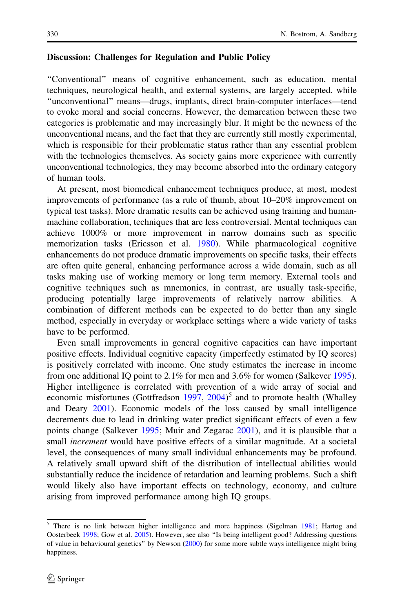## Discussion: Challenges for Regulation and Public Policy

''Conventional'' means of cognitive enhancement, such as education, mental techniques, neurological health, and external systems, are largely accepted, while ''unconventional'' means—drugs, implants, direct brain-computer interfaces—tend to evoke moral and social concerns. However, the demarcation between these two categories is problematic and may increasingly blur. It might be the newness of the unconventional means, and the fact that they are currently still mostly experimental, which is responsible for their problematic status rather than any essential problem with the technologies themselves. As society gains more experience with currently unconventional technologies, they may become absorbed into the ordinary category of human tools.

At present, most biomedical enhancement techniques produce, at most, modest improvements of performance (as a rule of thumb, about 10–20% improvement on typical test tasks). More dramatic results can be achieved using training and humanmachine collaboration, techniques that are less controversial. Mental techniques can achieve 1000% or more improvement in narrow domains such as specific memorization tasks (Ericsson et al. [1980](#page-24-0)). While pharmacological cognitive enhancements do not produce dramatic improvements on specific tasks, their effects are often quite general, enhancing performance across a wide domain, such as all tasks making use of working memory or long term memory. External tools and cognitive techniques such as mnemonics, in contrast, are usually task-specific, producing potentially large improvements of relatively narrow abilities. A combination of different methods can be expected to do better than any single method, especially in everyday or workplace settings where a wide variety of tasks have to be performed.

Even small improvements in general cognitive capacities can have important positive effects. Individual cognitive capacity (imperfectly estimated by IQ scores) is positively correlated with income. One study estimates the increase in income from one additional IQ point to 2.1% for men and 3.6% for women (Salkever [1995\)](#page-28-0). Higher intelligence is correlated with prevention of a wide array of social and economic misfortunes (Gottfredson [1997](#page-25-0), [2004](#page-25-0))<sup>5</sup> and to promote health (Whalley and Deary [2001\)](#page-29-0). Economic models of the loss caused by small intelligence decrements due to lead in drinking water predict significant effects of even a few points change (Salkever [1995](#page-28-0); Muir and Zegarac [2001\)](#page-27-0), and it is plausible that a small *increment* would have positive effects of a similar magnitude. At a societal level, the consequences of many small individual enhancements may be profound. A relatively small upward shift of the distribution of intellectual abilities would substantially reduce the incidence of retardation and learning problems. Such a shift would likely also have important effects on technology, economy, and culture arising from improved performance among high IQ groups.

<sup>5</sup> There is no link between higher intelligence and more happiness (Sigelman [1981;](#page-28-0) Hartog and Oosterbeek [1998;](#page-25-0) Gow et al. [2005](#page-25-0)). However, see also ''Is being intelligent good? Addressing questions of value in behavioural genetics'' by Newson [\(2000](#page-27-0)) for some more subtle ways intelligence might bring happiness.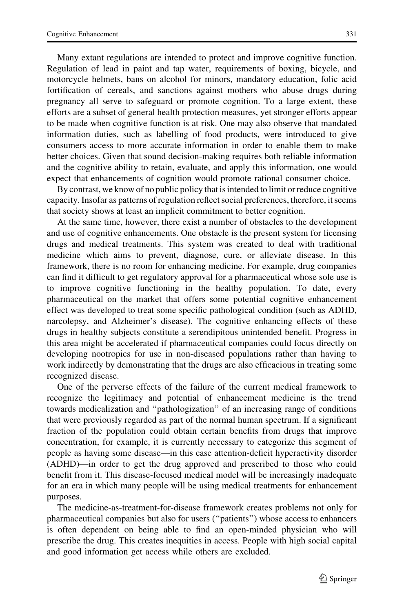Many extant regulations are intended to protect and improve cognitive function. Regulation of lead in paint and tap water, requirements of boxing, bicycle, and motorcycle helmets, bans on alcohol for minors, mandatory education, folic acid fortification of cereals, and sanctions against mothers who abuse drugs during pregnancy all serve to safeguard or promote cognition. To a large extent, these efforts are a subset of general health protection measures, yet stronger efforts appear to be made when cognitive function is at risk. One may also observe that mandated information duties, such as labelling of food products, were introduced to give consumers access to more accurate information in order to enable them to make better choices. Given that sound decision-making requires both reliable information and the cognitive ability to retain, evaluate, and apply this information, one would expect that enhancements of cognition would promote rational consumer choice.

By contrast, we know of no public policy that is intended to limit or reduce cognitive capacity. Insofar as patterns of regulation reflect social preferences, therefore, it seems that society shows at least an implicit commitment to better cognition.

At the same time, however, there exist a number of obstacles to the development and use of cognitive enhancements. One obstacle is the present system for licensing drugs and medical treatments. This system was created to deal with traditional medicine which aims to prevent, diagnose, cure, or alleviate disease. In this framework, there is no room for enhancing medicine. For example, drug companies can find it difficult to get regulatory approval for a pharmaceutical whose sole use is to improve cognitive functioning in the healthy population. To date, every pharmaceutical on the market that offers some potential cognitive enhancement effect was developed to treat some specific pathological condition (such as ADHD, narcolepsy, and Alzheimer's disease). The cognitive enhancing effects of these drugs in healthy subjects constitute a serendipitous unintended benefit. Progress in this area might be accelerated if pharmaceutical companies could focus directly on developing nootropics for use in non-diseased populations rather than having to work indirectly by demonstrating that the drugs are also efficacious in treating some recognized disease.

One of the perverse effects of the failure of the current medical framework to recognize the legitimacy and potential of enhancement medicine is the trend towards medicalization and ''pathologization'' of an increasing range of conditions that were previously regarded as part of the normal human spectrum. If a significant fraction of the population could obtain certain benefits from drugs that improve concentration, for example, it is currently necessary to categorize this segment of people as having some disease—in this case attention-deficit hyperactivity disorder (ADHD)—in order to get the drug approved and prescribed to those who could benefit from it. This disease-focused medical model will be increasingly inadequate for an era in which many people will be using medical treatments for enhancement purposes.

The medicine-as-treatment-for-disease framework creates problems not only for pharmaceutical companies but also for users (''patients'') whose access to enhancers is often dependent on being able to find an open-minded physician who will prescribe the drug. This creates inequities in access. People with high social capital and good information get access while others are excluded.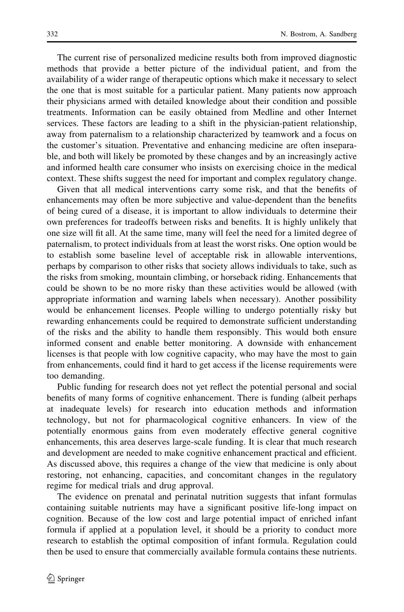The current rise of personalized medicine results both from improved diagnostic methods that provide a better picture of the individual patient, and from the availability of a wider range of therapeutic options which make it necessary to select the one that is most suitable for a particular patient. Many patients now approach their physicians armed with detailed knowledge about their condition and possible treatments. Information can be easily obtained from Medline and other Internet services. These factors are leading to a shift in the physician-patient relationship, away from paternalism to a relationship characterized by teamwork and a focus on the customer's situation. Preventative and enhancing medicine are often inseparable, and both will likely be promoted by these changes and by an increasingly active and informed health care consumer who insists on exercising choice in the medical context. These shifts suggest the need for important and complex regulatory change.

Given that all medical interventions carry some risk, and that the benefits of enhancements may often be more subjective and value-dependent than the benefits of being cured of a disease, it is important to allow individuals to determine their own preferences for tradeoffs between risks and benefits. It is highly unlikely that one size will fit all. At the same time, many will feel the need for a limited degree of paternalism, to protect individuals from at least the worst risks. One option would be to establish some baseline level of acceptable risk in allowable interventions, perhaps by comparison to other risks that society allows individuals to take, such as the risks from smoking, mountain climbing, or horseback riding. Enhancements that could be shown to be no more risky than these activities would be allowed (with appropriate information and warning labels when necessary). Another possibility would be enhancement licenses. People willing to undergo potentially risky but rewarding enhancements could be required to demonstrate sufficient understanding of the risks and the ability to handle them responsibly. This would both ensure informed consent and enable better monitoring. A downside with enhancement licenses is that people with low cognitive capacity, who may have the most to gain from enhancements, could find it hard to get access if the license requirements were too demanding.

Public funding for research does not yet reflect the potential personal and social benefits of many forms of cognitive enhancement. There is funding (albeit perhaps at inadequate levels) for research into education methods and information technology, but not for pharmacological cognitive enhancers. In view of the potentially enormous gains from even moderately effective general cognitive enhancements, this area deserves large-scale funding. It is clear that much research and development are needed to make cognitive enhancement practical and efficient. As discussed above, this requires a change of the view that medicine is only about restoring, not enhancing, capacities, and concomitant changes in the regulatory regime for medical trials and drug approval.

The evidence on prenatal and perinatal nutrition suggests that infant formulas containing suitable nutrients may have a significant positive life-long impact on cognition. Because of the low cost and large potential impact of enriched infant formula if applied at a population level, it should be a priority to conduct more research to establish the optimal composition of infant formula. Regulation could then be used to ensure that commercially available formula contains these nutrients.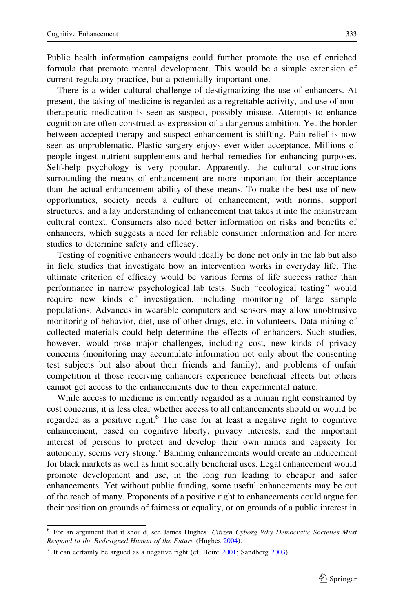Public health information campaigns could further promote the use of enriched formula that promote mental development. This would be a simple extension of current regulatory practice, but a potentially important one.

There is a wider cultural challenge of destigmatizing the use of enhancers. At present, the taking of medicine is regarded as a regrettable activity, and use of nontherapeutic medication is seen as suspect, possibly misuse. Attempts to enhance cognition are often construed as expression of a dangerous ambition. Yet the border between accepted therapy and suspect enhancement is shifting. Pain relief is now seen as unproblematic. Plastic surgery enjoys ever-wider acceptance. Millions of people ingest nutrient supplements and herbal remedies for enhancing purposes. Self-help psychology is very popular. Apparently, the cultural constructions surrounding the means of enhancement are more important for their acceptance than the actual enhancement ability of these means. To make the best use of new opportunities, society needs a culture of enhancement, with norms, support structures, and a lay understanding of enhancement that takes it into the mainstream cultural context. Consumers also need better information on risks and benefits of enhancers, which suggests a need for reliable consumer information and for more studies to determine safety and efficacy.

Testing of cognitive enhancers would ideally be done not only in the lab but also in field studies that investigate how an intervention works in everyday life. The ultimate criterion of efficacy would be various forms of life success rather than performance in narrow psychological lab tests. Such ''ecological testing'' would require new kinds of investigation, including monitoring of large sample populations. Advances in wearable computers and sensors may allow unobtrusive monitoring of behavior, diet, use of other drugs, etc. in volunteers. Data mining of collected materials could help determine the effects of enhancers. Such studies, however, would pose major challenges, including cost, new kinds of privacy concerns (monitoring may accumulate information not only about the consenting test subjects but also about their friends and family), and problems of unfair competition if those receiving enhancers experience beneficial effects but others cannot get access to the enhancements due to their experimental nature.

While access to medicine is currently regarded as a human right constrained by cost concerns, it is less clear whether access to all enhancements should or would be regarded as a positive right.<sup>6</sup> The case for at least a negative right to cognitive enhancement, based on cognitive liberty, privacy interests, and the important interest of persons to protect and develop their own minds and capacity for autonomy, seems very strong.<sup>7</sup> Banning enhancements would create an inducement for black markets as well as limit socially beneficial uses. Legal enhancement would promote development and use, in the long run leading to cheaper and safer enhancements. Yet without public funding, some useful enhancements may be out of the reach of many. Proponents of a positive right to enhancements could argue for their position on grounds of fairness or equality, or on grounds of a public interest in

<sup>&</sup>lt;sup>6</sup> For an argument that it should, see James Hughes' Citizen Cyborg Why Democratic Societies Must Respond to the Redesigned Human of the Future (Hughes [2004\)](#page-25-0).

<sup>&</sup>lt;sup>7</sup> It can certainly be argued as a negative right (cf. Boire  $2001$ ; Sandberg  $2003$ ).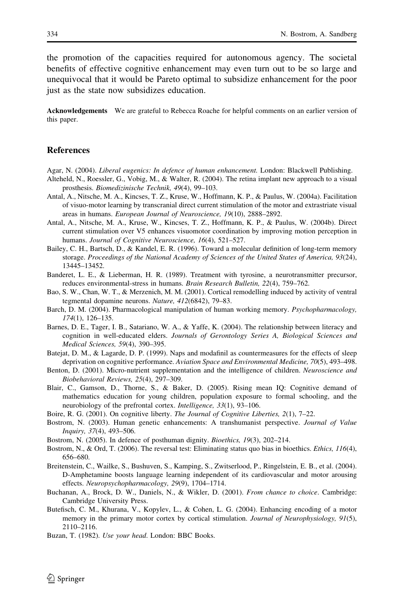<span id="page-23-0"></span>the promotion of the capacities required for autonomous agency. The societal benefits of effective cognitive enhancement may even turn out to be so large and unequivocal that it would be Pareto optimal to subsidize enhancement for the poor just as the state now subsidizes education.

Acknowledgements We are grateful to Rebecca Roache for helpful comments on an earlier version of this paper.

## **References**

Agar, N. (2004). Liberal eugenics: In defence of human enhancement. London: Blackwell Publishing.

- Alteheld, N., Roessler, G., Vobig, M., & Walter, R. (2004). The retina implant new approach to a visual prosthesis. Biomedizinische Technik, 49(4), 99–103.
- Antal, A., Nitsche, M. A., Kincses, T. Z., Kruse, W., Hoffmann, K. P., & Paulus, W. (2004a). Facilitation of visuo-motor learning by transcranial direct current stimulation of the motor and extrastriate visual areas in humans. European Journal of Neuroscience, 19(10), 2888–2892.
- Antal, A., Nitsche, M. A., Kruse, W., Kincses, T. Z., Hoffmann, K. P., & Paulus, W. (2004b). Direct current stimulation over V5 enhances visuomotor coordination by improving motion perception in humans. Journal of Cognitive Neuroscience, 16(4), 521-527.
- Bailey, C. H., Bartsch, D., & Kandel, E. R. (1996). Toward a molecular definition of long-term memory storage. Proceedings of the National Academy of Sciences of the United States of America, 93(24), 13445–13452.
- Banderet, L. E., & Lieberman, H. R. (1989). Treatment with tyrosine, a neurotransmitter precursor, reduces environmental-stress in humans. Brain Research Bulletin, 22(4), 759–762.
- Bao, S. W., Chan, W. T., & Merzenich, M. M. (2001). Cortical remodelling induced by activity of ventral tegmental dopamine neurons. Nature, 412(6842), 79–83.
- Barch, D. M. (2004). Pharmacological manipulation of human working memory. Psychopharmacology, 174(1), 126–135.
- Barnes, D. E., Tager, I. B., Satariano, W. A., & Yaffe, K. (2004). The relationship between literacy and cognition in well-educated elders. Journals of Gerontology Series A, Biological Sciences and Medical Sciences, 59(4), 390–395.
- Batejat, D. M., & Lagarde, D. P. (1999). Naps and modafinil as countermeasures for the effects of sleep deprivation on cognitive performance. Aviation Space and Environmental Medicine, 70(5), 493–498.
- Benton, D. (2001). Micro-nutrient supplementation and the intelligence of children. Neuroscience and Biobehavioral Reviews, 25(4), 297–309.
- Blair, C., Gamson, D., Thorne, S., & Baker, D. (2005). Rising mean IQ: Cognitive demand of mathematics education for young children, population exposure to formal schooling, and the neurobiology of the prefrontal cortex. Intelligence, 33(1), 93–106.
- Boire, R. G. (2001). On cognitive liberty. The Journal of Cognitive Liberties, 2(1), 7–22.
- Bostrom, N. (2003). Human genetic enhancements: A transhumanist perspective. Journal of Value Inquiry, 37(4), 493–506.
- Bostrom, N. (2005). In defence of posthuman dignity. Bioethics, 19(3), 202–214.
- Bostrom, N., & Ord, T. (2006). The reversal test: Eliminating status quo bias in bioethics. *Ethics*, 116(4), 656–680.
- Breitenstein, C., Wailke, S., Bushuven, S., Kamping, S., Zwitserlood, P., Ringelstein, E. B., et al. (2004). D-Amphetamine boosts language learning independent of its cardiovascular and motor arousing effects. Neuropsychopharmacology, 29(9), 1704–1714.
- Buchanan, A., Brock, D. W., Daniels, N., & Wikler, D. (2001). From chance to choice. Cambridge: Cambridge University Press.
- Butefisch, C. M., Khurana, V., Kopylev, L., & Cohen, L. G. (2004). Enhancing encoding of a motor memory in the primary motor cortex by cortical stimulation. Journal of Neurophysiology, 91(5), 2110–2116.
- Buzan, T. (1982). Use your head. London: BBC Books.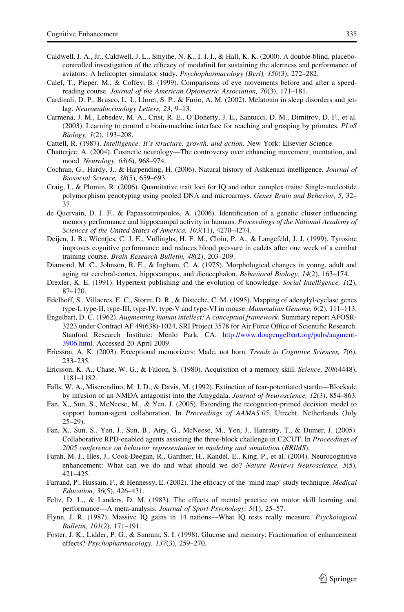- <span id="page-24-0"></span>Caldwell, J. A., Jr., Caldwell, J. L., Smythe, N. K., I. I. I., & Hall, K. K. (2000). A double-blind, placebocontrolled investigation of the efficacy of modafinil for sustaining the alertness and performance of aviators: A helicopter simulator study. Psychopharmacology (Berl), 150(3), 272–282.
- Calef, T., Pieper, M., & Coffey, B. (1999). Comparisons of eye movements before and after a speedreading course. Journal of the American Optometric Association, 70(3), 171–181.
- Cardinali, D. P., Brusco, L. I., Lloret, S. P., & Furio, A. M. (2002). Melatonin in sleep disorders and jetlag. Neuroendocrinology Letters, 23, 9–13.
- Carmena, J. M., Lebedev, M. A., Crist, R. E., O'Doherty, J. E., Santucci, D. M., Dimitrov, D. F., et al. (2003). Learning to control a brain-machine interface for reaching and grasping by primates. PLoS Biology, 1(2), 193–208.
- Cattell, R. (1987). Intelligence: It's structure, growth, and action. New York: Elsevier Science.
- Chatterjee, A. (2004). Cosmetic neurology—The controversy over enhancing movement, mentation, and mood. Neurology, 63(6), 968–974.
- Cochran, G., Hardy, J., & Harpending, H. (2006). Natural history of Ashkenazi intelligence. Journal of Biosocial Science, 38(5), 659–693.
- Craig, I., & Plomin, R. (2006). Quantitative trait loci for IQ and other complex traits: Single-nucleotide polymorphism genotyping using pooled DNA and microarrays. Genes Brain and Behavior, 5, 32– 37.
- de Quervain, D. J. F., & Papassotiropoulos, A. (2006). Identification of a genetic cluster influencing memory performance and hippocampal activity in humans. Proceedings of the National Academy of Sciences of the United States of America, 103(11), 4270–4274.
- Deijen, J. B., Wientjes, C. J. E., Vullinghs, H. F. M., Cloin, P. A., & Langefeld, J. J. (1999). Tyrosine improves cognitive performance and reduces blood pressure in cadets after one week of a combat training course. Brain Research Bulletin, 48(2), 203–209.
- Diamond, M. C., Johnson, R. E., & Ingham, C. A. (1975). Morphological changes in young, adult and aging rat cerebral-cortex, hippocampus, and diencephalon. Behavioral Biology, 14(2), 163–174.
- Drexler, K. E. (1991). Hypertext publishing and the evolution of knowledge. Social Intelligence, 1(2), 87–120.
- Edelhoff, S., Villacres, E. C., Storm, D. R., & Disteche, C. M. (1995). Mapping of adenylyl-cyclase genes type-I, type-II, type-III, type-IV, type-V and type-VI in mouse. Mammalian Genome, 6(2), 111–113.
- Engelbart, D. C. (1962). Augmenting human intellect: A conceptual framework. Summary report AFOSR-3223 under Contract AF 49(638)-1024, SRI Project 3578 for Air Force Office of Scientific Research. Stanford Research Institute: Menlo Park, CA. [http://www.dougengelbart.org/pubs/augment-](http://www.dougengelbart.org/pubs/augment-3906.html)[3906.html.](http://www.dougengelbart.org/pubs/augment-3906.html) Accessed 20 April 2009.
- Ericsson, A. K. (2003). Exceptional memorizers: Made, not born. Trends in Cognitive Sciences, 7(6), 233–235.
- Ericsson, K. A., Chase, W. G., & Faloon, S. (1980). Acquisition of a memory skill. Science, 208(4448), 1181–1182.
- Falls, W. A., Miserendino, M. J. D., & Davis, M. (1992). Extinction of fear-potentiated startle—Blockade by infusion of an NMDA antagonist into the Amygdala. Journal of Neuroscience, 12(3), 854–863.
- Fan, X., Sun, S., McNeese, M., & Yen, J. (2005). Extending the recognition-primed decision model to support human-agent collaboration. In *Proceedings of AAMAS'05*, Utrecht, Netherlands (July 25–29).
- Fan, X., Sun, S., Yen, J., Sun, B., Airy, G., McNeese, M., Yen, J., Hanratty, T., & Dumer, J. (2005). Collaborative RPD-enabled agents assisting the three-block challenge in C2CUT. In Proceedings of 2005 conference on behavior representation in modeling and simulation (BRIMS).
- Farah, M. J., Illes, J., Cook-Deegan, R., Gardner, H., Kandel, E., King, P., et al. (2004). Neurocognitive enhancement: What can we do and what should we do? Nature Reviews Neuroscience, 5(5), 421–425.
- Farrand, P., Hussain, F., & Hennessy, E. (2002). The efficacy of the 'mind map' study technique. Medical Education, 36(5), 426–431.
- Feltz, D. L., & Landers, D. M. (1983). The effects of mental practice on motor skill learning and performance—A meta-analysis. Journal of Sport Psychology, 5(1), 25–57.
- Flynn, J. R. (1987). Massive IQ gains in 14 nations—What IQ tests really measure. Psychological Bulletin, 101(2), 171–191.
- Foster, J. K., Lidder, P. G., & Sunram, S. I. (1998). Glucose and memory: Fractionation of enhancement effects? Psychopharmacology, 137(3), 259–270.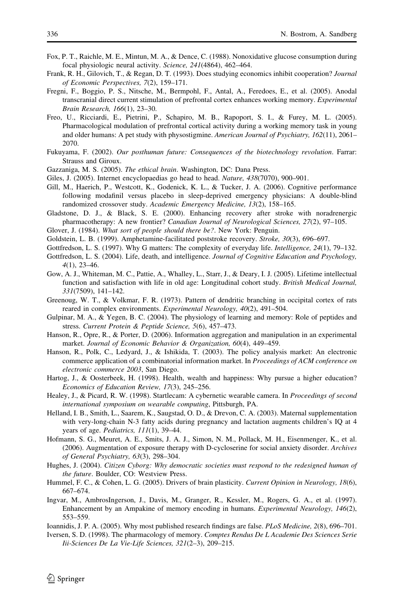- <span id="page-25-0"></span>Fox, P. T., Raichle, M. E., Mintun, M. A., & Dence, C. (1988). Nonoxidative glucose consumption during focal physiologic neural activity. Science, 241(4864), 462–464.
- Frank, R. H., Gilovich, T., & Regan, D. T. (1993). Does studying economics inhibit cooperation? Journal of Economic Perspectives, 7(2), 159–171.
- Fregni, F., Boggio, P. S., Nitsche, M., Bermpohl, F., Antal, A., Feredoes, E., et al. (2005). Anodal transcranial direct current stimulation of prefrontal cortex enhances working memory. Experimental Brain Research, 166(1), 23–30.
- Freo, U., Ricciardi, E., Pietrini, P., Schapiro, M. B., Rapoport, S. I., & Furey, M. L. (2005). Pharmacological modulation of prefrontal cortical activity during a working memory task in young and older humans: A pet study with physostigmine. American Journal of Psychiatry, 162(11), 2061– 2070.
- Fukuyama, F. (2002). Our posthuman future: Consequences of the biotechnology revolution. Farrar: Strauss and Giroux.
- Gazzaniga, M. S. (2005). The ethical brain. Washington, DC: Dana Press.
- Giles, J. (2005). Internet encyclopaedias go head to head. Nature, 438(7070), 900–901.
- Gill, M., Haerich, P., Westcott, K., Godenick, K. L., & Tucker, J. A. (2006). Cognitive performance following modafinil versus placebo in sleep-deprived emergency physicians: A double-blind randomized crossover study. Academic Emergency Medicine, 13(2), 158–165.
- Gladstone, D. J., & Black, S. E. (2000). Enhancing recovery after stroke with noradrenergic pharmacotherapy: A new frontier? Canadian Journal of Neurological Sciences, 27(2), 97–105.
- Glover, J. (1984). What sort of people should there be?. New York: Penguin.
- Goldstein, L. B. (1999). Amphetamine-facilitated poststroke recovery. Stroke, 30(3), 696–697.
- Gottfredson, L. S. (1997). Why G matters: The complexity of everyday life. Intelligence, 24(1), 79–132.
- Gottfredson, L. S. (2004). Life, death, and intelligence. Journal of Cognitive Education and Psychology, 4(1), 23–46.
- Gow, A. J., Whiteman, M. C., Pattie, A., Whalley, L., Starr, J., & Deary, I. J. (2005). Lifetime intellectual function and satisfaction with life in old age: Longitudinal cohort study. British Medical Journal, 331(7509), 141–142.
- Greenoug, W. T., & Volkmar, F. R. (1973). Pattern of dendritic branching in occipital cortex of rats reared in complex environments. Experimental Neurology, 40(2), 491–504.
- Gulpinar, M. A., & Yegen, B. C. (2004). The physiology of learning and memory: Role of peptides and stress. Current Protein & Peptide Science, 5(6), 457–473.
- Hanson, R., Opre, R., & Porter, D. (2006). Information aggregation and manipulation in an experimental market. Journal of Economic Behavior & Organization, 60(4), 449–459.
- Hanson, R., Polk, C., Ledyard, J., & Ishikida, T. (2003). The policy analysis market: An electronic commerce application of a combinatorial information market. In Proceedings of ACM conference on electronic commerce 2003, San Diego.
- Hartog, J., & Oosterbeek, H. (1998). Health, wealth and happiness: Why pursue a higher education? Economics of Education Review, 17(3), 245–256.
- Healey, J., & Picard, R. W. (1998). Startlecam: A cybernetic wearable camera. In Proceedings of second international symposium on wearable computing, Pittsburgh, PA.
- Helland, I. B., Smith, L., Saarem, K., Saugstad, O. D., & Drevon, C. A. (2003). Maternal supplementation with very-long-chain N-3 fatty acids during pregnancy and lactation augments children's IQ at 4 years of age. Pediatrics, 111(1), 39–44.
- Hofmann, S. G., Meuret, A. E., Smits, J. A. J., Simon, N. M., Pollack, M. H., Eisenmenger, K., et al. (2006). Augmentation of exposure therapy with D-cycloserine for social anxiety disorder. Archives of General Psychiatry, 63(3), 298–304.
- Hughes, J. (2004). Citizen Cyborg: Why democratic societies must respond to the redesigned human of the future. Boulder, CO: Westview Press.
- Hummel, F. C., & Cohen, L. G. (2005). Drivers of brain plasticity. Current Opinion in Neurology, 18(6), 667–674.
- Ingvar, M., AmbrosIngerson, J., Davis, M., Granger, R., Kessler, M., Rogers, G. A., et al. (1997). Enhancement by an Ampakine of memory encoding in humans. Experimental Neurology, 146(2), 553–559.
- Ioannidis, J. P. A. (2005). Why most published research findings are false. PLoS Medicine, 2(8), 696–701.
- Iversen, S. D. (1998). The pharmacology of memory. Comptes Rendus De L Academie Des Sciences Serie Iii-Sciences De La Vie-Life Sciences, 321(2–3), 209–215.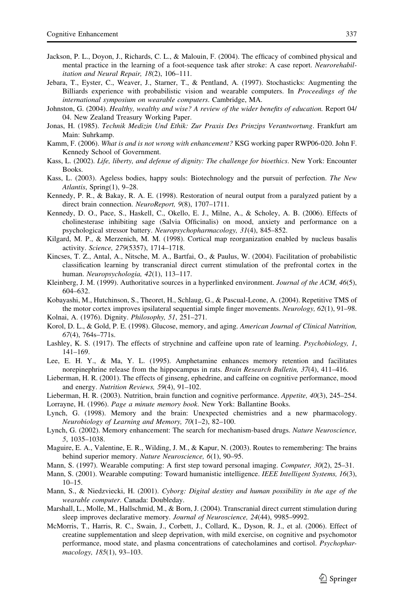- <span id="page-26-0"></span>Jackson, P. L., Doyon, J., Richards, C. L., & Malouin, F. (2004). The efficacy of combined physical and mental practice in the learning of a foot-sequence task after stroke: A case report. Neurorehabilitation and Neural Repair, 18(2), 106–111.
- Jebara, T., Eyster, C., Weaver, J., Starner, T., & Pentland, A. (1997). Stochasticks: Augmenting the Billiards experience with probabilistic vision and wearable computers. In Proceedings of the international symposium on wearable computers. Cambridge, MA.
- Johnston, G. (2004). Healthy, wealthy and wise? A review of the wider benefits of education. Report 04/ 04. New Zealand Treasury Working Paper.
- Jonas, H. (1985). Technik Medizin Und Ethik: Zur Praxis Des Prinzips Verantwortung. Frankfurt am Main: Suhrkamp.
- Kamm, F. (2006). What is and is not wrong with enhancement? KSG working paper RWP06-020. John F. Kennedy School of Government.
- Kass, L. (2002). Life, liberty, and defense of dignity: The challenge for bioethics. New York: Encounter Books.
- Kass, L. (2003). Ageless bodies, happy souls: Biotechnology and the pursuit of perfection. The New Atlantis, Spring(1), 9–28.
- Kennedy, P. R., & Bakay, R. A. E. (1998). Restoration of neural output from a paralyzed patient by a direct brain connection. NeuroReport, 9(8), 1707-1711.
- Kennedy, D. O., Pace, S., Haskell, C., Okello, E. J., Milne, A., & Scholey, A. B. (2006). Effects of cholinesterase inhibiting sage (Salvia Officinalis) on mood, anxiety and performance on a psychological stressor battery. Neuropsychopharmacology, 31(4), 845–852.
- Kilgard, M. P., & Merzenich, M. M. (1998). Cortical map reorganization enabled by nucleus basalis activity. Science, 279(5357), 1714–1718.
- Kincses, T. Z., Antal, A., Nitsche, M. A., Bartfai, O., & Paulus, W. (2004). Facilitation of probabilistic classification learning by transcranial direct current stimulation of the prefrontal cortex in the human. Neuropsychologia, 42(1), 113–117.
- Kleinberg, J. M. (1999). Authoritative sources in a hyperlinked environment. Journal of the ACM, 46(5), 604–632.
- Kobayashi, M., Hutchinson, S., Theoret, H., Schlaug, G., & Pascual-Leone, A. (2004). Repetitive TMS of the motor cortex improves ipsilateral sequential simple finger movements. Neurology, 62(1), 91–98.
- Kolnai, A. (1976). Dignity. Philosophy, 51, 251–271.
- Korol, D. L., & Gold, P. E. (1998). Glucose, memory, and aging. American Journal of Clinical Nutrition, 67(4), 764s–771s.
- Lashley, K. S. (1917). The effects of strychnine and caffeine upon rate of learning. Psychobiology, 1, 141–169.
- Lee, E. H. Y., & Ma, Y. L. (1995). Amphetamine enhances memory retention and facilitates norepinephrine release from the hippocampus in rats. Brain Research Bulletin, 37(4), 411–416.
- Lieberman, H. R. (2001). The effects of ginseng, ephedrine, and caffeine on cognitive performance, mood and energy. Nutrition Reviews, 59(4), 91–102.
- Lieberman, H. R. (2003). Nutrition, brain function and cognitive performance. Appetite, 40(3), 245–254. Lorrayne, H. (1996). Page a minute memory book. New York: Ballantine Books.
- Lynch, G. (1998). Memory and the brain: Unexpected chemistries and a new pharmacology. Neurobiology of Learning and Memory, 70(1–2), 82–100.
- Lynch, G. (2002). Memory enhancement: The search for mechanism-based drugs. Nature Neuroscience, 5, 1035–1038.
- Maguire, E. A., Valentine, E. R., Wilding, J. M., & Kapur, N. (2003). Routes to remembering: The brains behind superior memory. Nature Neuroscience, 6(1), 90–95.
- Mann, S. (1997). Wearable computing: A first step toward personal imaging. Computer, 30(2), 25–31.
- Mann, S. (2001). Wearable computing: Toward humanistic intelligence. IEEE Intelligent Systems, 16(3),  $10-15$ .
- Mann, S., & Niedzviecki, H. (2001). Cyborg: Digital destiny and human possibility in the age of the wearable computer. Canada: Doubleday.
- Marshall, L., Molle, M., Hallschmid, M., & Born, J. (2004). Transcranial direct current stimulation during sleep improves declarative memory. Journal of Neuroscience, 24(44), 9985–9992.
- McMorris, T., Harris, R. C., Swain, J., Corbett, J., Collard, K., Dyson, R. J., et al. (2006). Effect of creatine supplementation and sleep deprivation, with mild exercise, on cognitive and psychomotor performance, mood state, and plasma concentrations of catecholamines and cortisol. Psychopharmacology, 185(1), 93–103.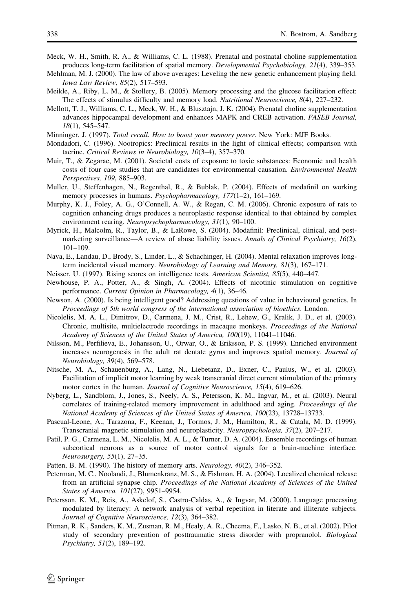- <span id="page-27-0"></span>Meck, W. H., Smith, R. A., & Williams, C. L. (1988). Prenatal and postnatal choline supplementation produces long-term facilitation of spatial memory. Developmental Psychobiology, 21(4), 339–353.
- Mehlman, M. J. (2000). The law of above averages: Leveling the new genetic enhancement playing field. Iowa Law Review, 85(2), 517–593.
- Meikle, A., Riby, L. M., & Stollery, B. (2005). Memory processing and the glucose facilitation effect: The effects of stimulus difficulty and memory load. Nutritional Neuroscience, 8(4), 227–232.
- Mellott, T. J., Williams, C. L., Meck, W. H., & Blusztajn, J. K. (2004). Prenatal choline supplementation advances hippocampal development and enhances MAPK and CREB activation. FASEB Journal, 18(1), 545–547.
- Minninger, J. (1997). Total recall. How to boost your memory power. New York: MJF Books.
- Mondadori, C. (1996). Nootropics: Preclinical results in the light of clinical effects; comparison with tacrine. Critical Reviews in Neurobiology, 10(3–4), 357–370.
- Muir, T., & Zegarac, M. (2001). Societal costs of exposure to toxic substances: Economic and health costs of four case studies that are candidates for environmental causation. Environmental Health Perspectives, 109, 885–903.
- Muller, U., Steffenhagen, N., Regenthal, R., & Bublak, P. (2004). Effects of modafinil on working memory processes in humans. Psychopharmacology, 177(1–2), 161–169.
- Murphy, K. J., Foley, A. G., O'Connell, A. W., & Regan, C. M. (2006). Chronic exposure of rats to cognition enhancing drugs produces a neuroplastic response identical to that obtained by complex environment rearing. Neuropsychopharmacology, 31(1), 90–100.
- Myrick, H., Malcolm, R., Taylor, B., & LaRowe, S. (2004). Modafinil: Preclinical, clinical, and postmarketing surveillance—A review of abuse liability issues. Annals of Clinical Psychiatry, 16(2), 101–109.
- Nava, E., Landau, D., Brody, S., Linder, L., & Schachinger, H. (2004). Mental relaxation improves longterm incidental visual memory. Neurobiology of Learning and Memory, 81(3), 167–171.
- Neisser, U. (1997). Rising scores on intelligence tests. American Scientist, 85(5), 440–447.
- Newhouse, P. A., Potter, A., & Singh, A. (2004). Effects of nicotinic stimulation on cognitive performance. Current Opinion in Pharmacology, 4(1), 36–46.
- Newson, A. (2000). Is being intelligent good? Addressing questions of value in behavioural genetics. In Proceedings of 5th world congress of the international association of bioethics. London.
- Nicolelis, M. A. L., Dimitrov, D., Carmena, J. M., Crist, R., Lehew, G., Kralik, J. D., et al. (2003). Chronic, multisite, multielectrode recordings in macaque monkeys. Proceedings of the National Academy of Sciences of the United States of America, 100(19), 11041–11046.
- Nilsson, M., Perfilieva, E., Johansson, U., Orwar, O., & Eriksson, P. S. (1999). Enriched environment increases neurogenesis in the adult rat dentate gyrus and improves spatial memory. Journal of Neurobiology, 39(4), 569–578.
- Nitsche, M. A., Schauenburg, A., Lang, N., Liebetanz, D., Exner, C., Paulus, W., et al. (2003). Facilitation of implicit motor learning by weak transcranial direct current stimulation of the primary motor cortex in the human. Journal of Cognitive Neuroscience, 15(4), 619–626.
- Nyberg, L., Sandblom, J., Jones, S., Neely, A. S., Petersson, K. M., Ingvar, M., et al. (2003). Neural correlates of training-related memory improvement in adulthood and aging. Proceedings of the National Academy of Sciences of the United States of America, 100(23), 13728–13733.
- Pascual-Leone, A., Tarazona, F., Keenan, J., Tormos, J. M., Hamilton, R., & Catala, M. D. (1999). Transcranial magnetic stimulation and neuroplasticity. Neuropsychologia, 37(2), 207–217.
- Patil, P. G., Carmena, L. M., Nicolelis, M. A. L., & Turner, D. A. (2004). Ensemble recordings of human subcortical neurons as a source of motor control signals for a brain-machine interface. Neurosurgery, 55(1), 27–35.
- Patten, B. M. (1990). The history of memory arts. Neurology, 40(2), 346-352.
- Peterman, M. C., Noolandi, J., Blumenkranz, M. S., & Fishman, H. A. (2004). Localized chemical release from an artificial synapse chip. Proceedings of the National Academy of Sciences of the United States of America, 101(27), 9951–9954.
- Petersson, K. M., Reis, A., Askelof, S., Castro-Caldas, A., & Ingvar, M. (2000). Language processing modulated by literacy: A network analysis of verbal repetition in literate and illiterate subjects. Journal of Cognitive Neuroscience, 12(3), 364–382.
- Pitman, R. K., Sanders, K. M., Zusman, R. M., Healy, A. R., Cheema, F., Lasko, N. B., et al. (2002). Pilot study of secondary prevention of posttraumatic stress disorder with propranolol. Biological Psychiatry, 51(2), 189–192.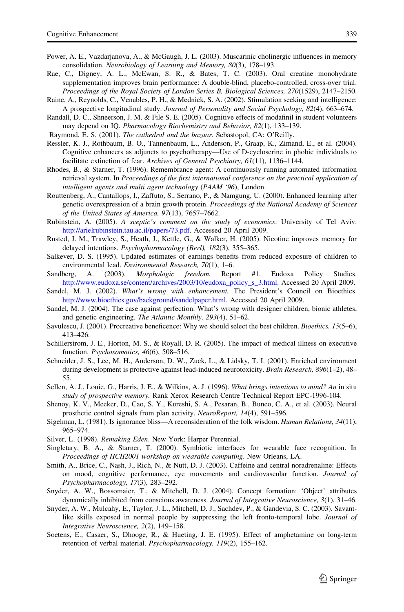- <span id="page-28-0"></span>Power, A. E., Vazdarjanova, A., & McGaugh, J. L. (2003). Muscarinic cholinergic influences in memory consolidation. Neurobiology of Learning and Memory, 80(3), 178–193.
- Rae, C., Digney, A. L., McEwan, S. R., & Bates, T. C. (2003). Oral creatine monohydrate supplementation improves brain performance: A double-blind, placebo-controlled, cross-over trial. Proceedings of the Royal Society of London Series B, Biological Sciences, 270(1529), 2147–2150.
- Raine, A., Reynolds, C., Venables, P. H., & Mednick, S. A. (2002). Stimulation seeking and intelligence: A prospective longitudinal study. Journal of Personality and Social Psychology, 82(4), 663–674.
- Randall, D. C., Shneerson, J. M. & File S. E. (2005). Cognitive effects of modafinil in student volunteers may depend on IQ. Pharmacology Biochemistry and Behavior, 82(1), 133–139.
- Raymond, E. S. (2001). The cathedral and the bazaar. Sebastopol, CA: O'Reilly.
- Ressler, K. J., Rothbaum, B. O., Tannenbaum, L., Anderson, P., Graap, K., Zimand, E., et al. (2004). Cognitive enhancers as adjuncts to psychotherapy—Use of D-cycloserine in phobic individuals to facilitate extinction of fear. Archives of General Psychiatry, 61(11), 1136–1144.
- Rhodes, B., & Starner, T. (1996). Remembrance agent: A continuously running automated information retrieval system. In Proceedings of the first international conference on the practical application of intelligent agents and multi agent technology (PAAM '96), London.
- Routtenberg, A., Cantallops, I., Zaffuto, S., Serrano, P., & Namgung, U. (2000). Enhanced learning after genetic overexpression of a brain growth protein. Proceedings of the National Academy of Sciences of the United States of America, 97(13), 7657–7662.
- Rubinstein, A. (2005). A sceptic's comment on the study of economics. University of Tel Aviv. <http://arielrubinstein.tau.ac.il/papers/73.pdf>. Accessed 20 April 2009.
- Rusted, J. M., Trawley, S., Heath, J., Kettle, G., & Walker, H. (2005). Nicotine improves memory for delayed intentions. Psychopharmacology (Berl), 182(3), 355–365.
- Salkever, D. S. (1995). Updated estimates of earnings benefits from reduced exposure of children to environmental lead. Environmental Research, 70(1), 1–6.
- Sandberg, A. (2003). Morphologic freedom. Report #1. Eudoxa Policy Studies. [http://www.eudoxa.se/content/archives/2003/10/eudoxa\\_policy\\_s\\_3.html.](http://www.eudoxa.se/content/archives/2003/10/eudoxa_policy_s_3.html) Accessed 20 April 2009.
- Sandel, M. J. (2002). What's wrong with enhancement. The President's Council on Bioethics. [http://www.bioethics.gov/background/sandelpaper.html.](http://www.bioethics.gov/background/sandelpaper.html) Accessed 20 April 2009.
- Sandel, M. J. (2004). The case against perfection: What's wrong with designer children, bionic athletes, and genetic engineering. The Atlantic Monthly, 293(4), 51–62.
- Savulescu, J. (2001). Procreative beneficence: Why we should select the best children. Bioethics, 15(5–6), 413–426.
- Schillerstrom, J. E., Horton, M. S., & Royall, D. R. (2005). The impact of medical illness on executive function. *Psychosomatics*, 46(6), 508-516.
- Schneider, J. S., Lee, M. H., Anderson, D. W., Zuck, L., & Lidsky, T. I. (2001). Enriched environment during development is protective against lead-induced neurotoxicity. Brain Research, 896(1-2), 48– 55.
- Sellen, A. J., Louie, G., Harris, J. E., & Wilkins, A. J. (1996). What brings intentions to mind? An in situ study of prospective memory. Rank Xerox Research Centre Technical Report EPC-1996-104.
- Shenoy, K. V., Meeker, D., Cao, S. Y., Kureshi, S. A., Pesaran, B., Buneo, C. A., et al. (2003). Neural prosthetic control signals from plan activity. NeuroReport, 14(4), 591–596.
- Sigelman, L. (1981). Is ignorance bliss—A reconsideration of the folk wisdom. Human Relations, 34(11), 965–974.
- Silver, L. (1998). Remaking Eden. New York: Harper Perennial.
- Singletary, B. A., & Starner, T. (2000). Symbiotic interfaces for wearable face recognition. In Proceedings of HCII2001 workshop on wearable computing. New Orleans, LA.
- Smith, A., Brice, C., Nash, J., Rich, N., & Nutt, D. J. (2003). Caffeine and central noradrenaline: Effects on mood, cognitive performance, eye movements and cardiovascular function. Journal of Psychopharmacology, 17(3), 283–292.
- Snyder, A. W., Bossomaier, T., & Mitchell, D. J. (2004). Concept formation: 'Object' attributes dynamically inhibited from conscious awareness. Journal of Integrative Neuroscience, 3(1), 31–46.
- Snyder, A. W., Mulcahy, E., Taylor, J. L., Mitchell, D. J., Sachdev, P., & Gandevia, S. C. (2003). Savantlike skills exposed in normal people by suppressing the left fronto-temporal lobe. Journal of Integrative Neuroscience, 2(2), 149–158.
- Soetens, E., Casaer, S., Dhooge, R., & Hueting, J. E. (1995). Effect of amphetamine on long-term retention of verbal material. Psychopharmacology, 119(2), 155–162.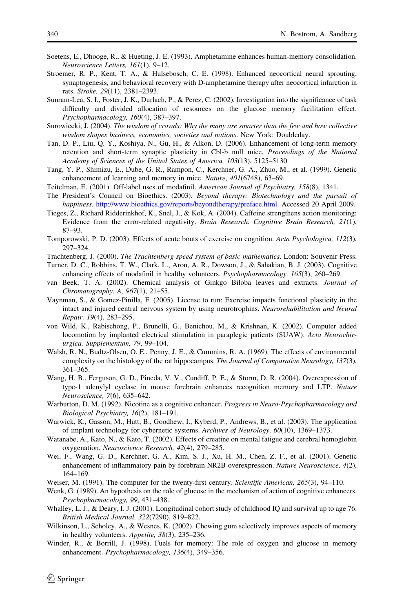- <span id="page-29-0"></span>Soetens, E., Dhooge, R., & Hueting, J. E. (1993). Amphetamine enhances human-memory consolidation. Neuroscience Letters, 161(1), 9–12.
- Stroemer, R. P., Kent, T. A., & Hulsebosch, C. E. (1998). Enhanced neocortical neural sprouting, synaptogenesis, and behavioral recovery with D-amphetamine therapy after neocortical infarction in rats. Stroke, 29(11), 2381–2393.
- Sunram-Lea, S. I., Foster, J. K., Durlach, P., & Perez, C. (2002). Investigation into the significance of task difficulty and divided allocation of resources on the glucose memory facilitation effect. Psychopharmacology, 160(4), 387–397.
- Surowiecki, J. (2004). The wisdom of crowds: Why the many are smarter than the few and how collective wisdom shapes business, economies, societies and nations. New York: Doubleday.
- Tan, D. P., Liu, Q. Y., Koshiya, N., Gu, H., & Alkon, D. (2006). Enhancement of long-term memory retention and short-term synaptic plasticity in Cbl-b null mice. Proceedings of the National Academy of Sciences of the United States of America, 103(13), 5125–5130.
- Tang, Y. P., Shimizu, E., Dube, G. R., Rampon, C., Kerchner, G. A., Zhuo, M., et al. (1999). Genetic enhancement of learning and memory in mice. Nature, 401(6748), 63–69.
- Teitelman, E. (2001). Off-label uses of modafinil. American Journal of Psychiatry, 158(8), 1341.
- The President's Council on Bioethics. (2003). Beyond therapy: Biotechnology and the pursuit of happiness. [http://www.bioethics.gov/reports/beyondtherapy/preface.html.](http://www.bioethics.gov/reports/beyondtherapy/preface.html) Accessed 20 April 2009.
- Tieges, Z., Richard Ridderinkhof, K., Snel, J., & Kok, A. (2004). Caffeine strengthens action monitoring: Evidence from the error-related negativity. Brain Research. Cognitive Brain Research, 21(1), 87–93.
- Tomporowski, P. D. (2003). Effects of acute bouts of exercise on cognition. Acta Psychologica, 112(3), 297–324.
- Trachtenberg, J. (2000). The Trachtenberg speed system of basic mathematics. London: Souvenir Press.
- Turner, D. C., Robbins, T. W., Clark, L., Aron, A. R., Dowson, J., & Sahakian, B. J. (2003). Cognitive enhancing effects of modafinil in healthy volunteers. Psychopharmacology, 165(3), 260–269.
- van Beek, T. A. (2002). Chemical analysis of Ginkgo Biloba leaves and extracts. Journal of Chromatography. A, 967(1), 21–55.
- Vaynman, S., & Gomez-Pinilla, F. (2005). License to run: Exercise impacts functional plasticity in the intact and injured central nervous system by using neurotrophins. Neurorehabilitation and Neural Repair, 19(4), 283–295.
- von Wild, K., Rabischong, P., Brunelli, G., Benichou, M., & Krishnan, K. (2002). Computer added locomotion by implanted electrical stimulation in paraplegic patients (SUAW). Acta Neurochirurgica. Supplementum, 79, 99–104.
- Walsh, R. N., Budtz-Olsen, O. E., Penny, J. E., & Cummins, R. A. (1969). The effects of environmental complexity on the histology of the rat hippocampus. The Journal of Comparative Neurology, 137(3), 361–365.
- Wang, H. B., Ferguson, G. D., Pineda, V. V., Cundiff, P. E., & Storm, D. R. (2004). Overexpression of type-1 adenylyl cyclase in mouse forebrain enhances recognition memory and LTP. Nature Neuroscience, 7(6), 635–642.
- Warburton, D. M. (1992). Nicotine as a cognitive enhancer. Progress in Neuro-Psychopharmacology and Biological Psychiatry, 16(2), 181–191.
- Warwick, K., Gasson, M., Hutt, B., Goodhew, I., Kyberd, P., Andrews, B., et al. (2003). The application of implant technology for cybernetic systems. Archives of Neurology, 60(10), 1369–1373.
- Watanabe, A., Kato, N., & Kato, T. (2002). Effects of creatine on mental fatigue and cerebral hemoglobin oxygenation. Neuroscience Research, 42(4), 279–285.
- Wei, F., Wang, G. D., Kerchner, G. A., Kim, S. J., Xu, H. M., Chen, Z. F., et al. (2001). Genetic enhancement of inflammatory pain by forebrain NR2B overexpression. Nature Neuroscience, 4(2), 164–169.
- Weiser, M. (1991). The computer for the twenty-first century. Scientific American, 265(3), 94–110.
- Wenk, G. (1989). An hypothesis on the role of glucose in the mechanism of action of cognitive enhancers. Psychopharmacology, 99, 431–438.
- Whalley, L. J., & Deary, I. J. (2001). Longitudinal cohort study of childhood IQ and survival up to age 76. British Medical Journal, 322(7290), 819–822.
- Wilkinson, L., Scholey, A., & Wesnes, K. (2002). Chewing gum selectively improves aspects of memory in healthy volunteers. Appetite, 38(3), 235–236.
- Winder, R., & Borrill, J. (1998). Fuels for memory: The role of oxygen and glucose in memory enhancement. Psychopharmacology, 136(4), 349–356.